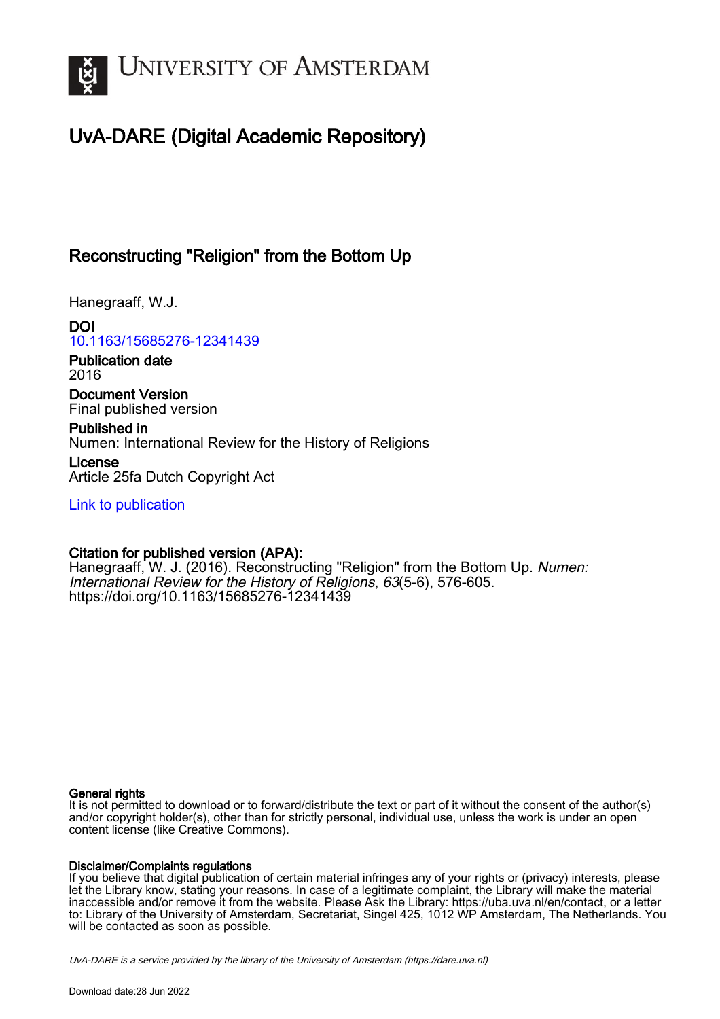

# UvA-DARE (Digital Academic Repository)

## Reconstructing "Religion" from the Bottom Up

Hanegraaff, W.J.

DOI [10.1163/15685276-12341439](https://doi.org/10.1163/15685276-12341439)

Publication date 2016

Document Version Final published version

Published in Numen: International Review for the History of Religions

License Article 25fa Dutch Copyright Act

[Link to publication](https://dare.uva.nl/personal/pure/en/publications/reconstructing-religion-from-the-bottom-up(8b66dd94-5e6c-4c56-95ec-dbf822201e46).html)

### Citation for published version (APA):

Hanegraaff, W. J. (2016). Reconstructing "Religion" from the Bottom Up. Numen: International Review for the History of Religions, 63(5-6), 576-605. <https://doi.org/10.1163/15685276-12341439>

#### General rights

It is not permitted to download or to forward/distribute the text or part of it without the consent of the author(s) and/or copyright holder(s), other than for strictly personal, individual use, unless the work is under an open content license (like Creative Commons).

#### Disclaimer/Complaints regulations

If you believe that digital publication of certain material infringes any of your rights or (privacy) interests, please let the Library know, stating your reasons. In case of a legitimate complaint, the Library will make the material inaccessible and/or remove it from the website. Please Ask the Library: https://uba.uva.nl/en/contact, or a letter to: Library of the University of Amsterdam, Secretariat, Singel 425, 1012 WP Amsterdam, The Netherlands. You will be contacted as soon as possible.

UvA-DARE is a service provided by the library of the University of Amsterdam (http*s*://dare.uva.nl)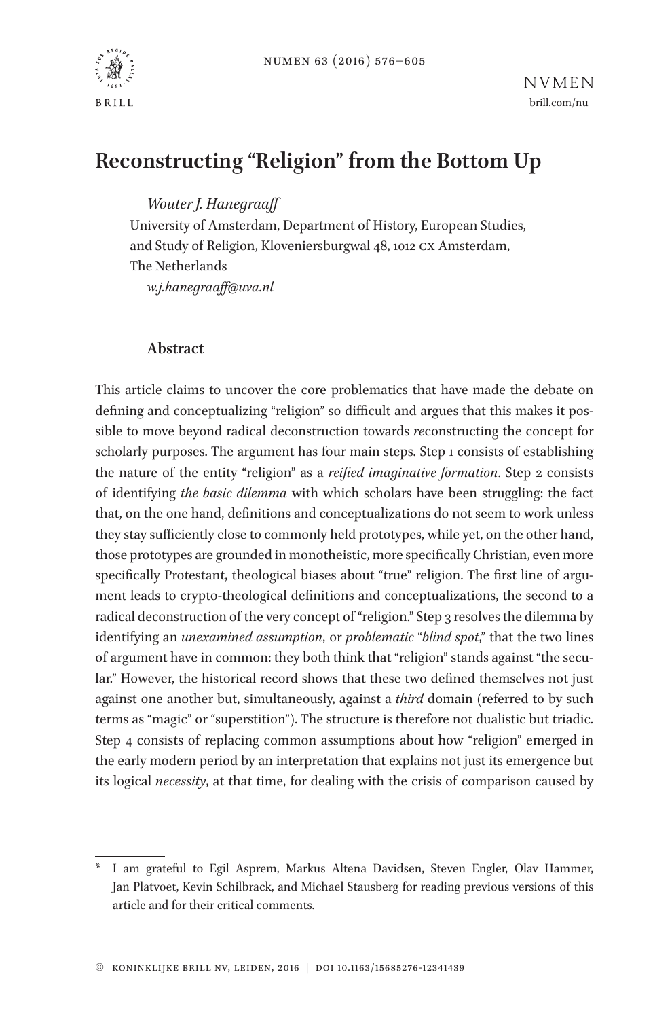

## **Reconstructing "Religion" from the Bottom Up**

*Wouter J. Hanegraaff*

University of Amsterdam, Department of History, European Studies, and Study of Religion, Kloveniersburgwal 48, 1012 CX Amsterdam, The Netherlands *w.j.hanegraaff@uva.nl*

#### **Abstract**

This article claims to uncover the core problematics that have made the debate on defining and conceptualizing "religion" so difficult and argues that this makes it possible to move beyond radical deconstruction towards *re*constructing the concept for scholarly purposes. The argument has four main steps. Step 1 consists of establishing the nature of the entity "religion" as a *reified imaginative formation*. Step 2 consists of identifying *the basic dilemma* with which scholars have been struggling: the fact that, on the one hand, definitions and conceptualizations do not seem to work unless they stay sufficiently close to commonly held prototypes, while yet, on the other hand, those prototypes are grounded in monotheistic, more specifically Christian, even more specifically Protestant, theological biases about "true" religion. The first line of argument leads to crypto-theological definitions and conceptualizations, the second to a radical deconstruction of the very concept of "religion." Step 3 resolves the dilemma by identifying an *unexamined assumption*, or *problematic* "*blind spot*," that the two lines of argument have in common: they both think that "religion" stands against "the secular." However, the historical record shows that these two defined themselves not just against one another but, simultaneously, against a *third* domain (referred to by such terms as "magic" or "superstition"). The structure is therefore not dualistic but triadic. Step 4 consists of replacing common assumptions about how "religion" emerged in the early modern period by an interpretation that explains not just its emergence but its logical *necessity*, at that time, for dealing with the crisis of comparison caused by

I am grateful to Egil Asprem, Markus Altena Davidsen, Steven Engler, Olav Hammer, Jan Platvoet, Kevin Schilbrack, and Michael Stausberg for reading previous versions of this article and for their critical comments.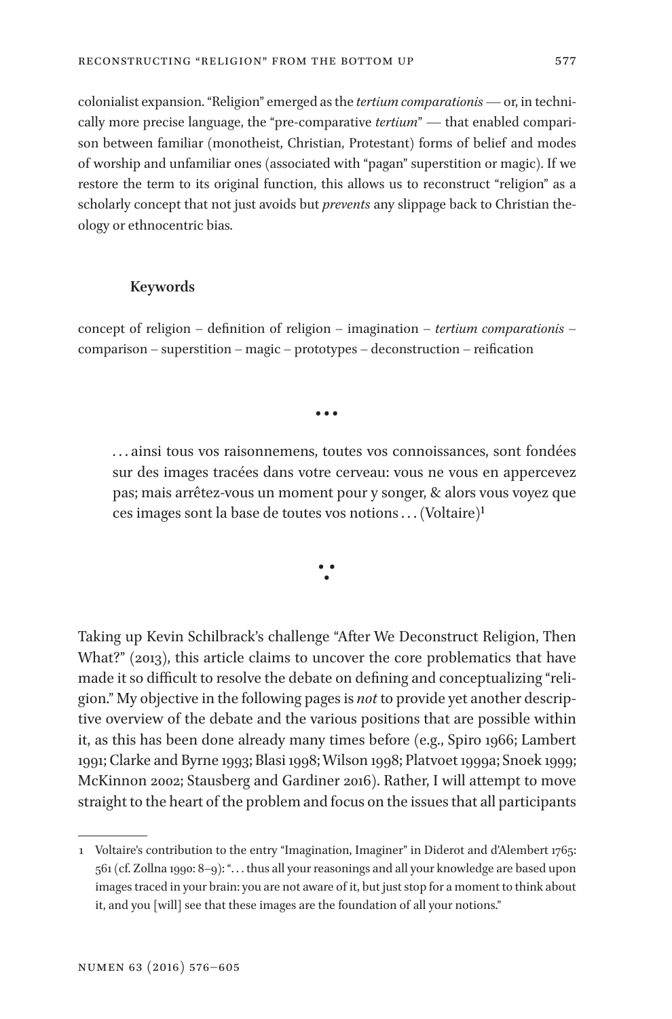colonialist expansion. "Religion" emerged as the *tertium comparationis* — or, in technically more precise language, the "pre-comparative *tertium*" — that enabled comparison between familiar (monotheist, Christian, Protestant) forms of belief and modes of worship and unfamiliar ones (associated with "pagan" superstition or magic). If we restore the term to its original function, this allows us to reconstruct "religion" as a scholarly concept that not just avoids but *prevents* any slippage back to Christian theology or ethnocentric bias.

#### **Keywords**

concept of religion – definition of religion – imagination – *tertium comparationis* – comparison – superstition – magic – prototypes – deconstruction – reification

…

. . . ainsi tous vos raisonnemens, toutes vos connoissances, sont fondées sur des images tracées dans votre cerveau: vous ne vous en appercevez pas; mais arrêtez-vous un moment pour y songer, & alors vous voyez que ces images sont la base de toutes vos notions . . . (Voltaire)1

∵

Taking up Kevin Schilbrack's challenge "After We Deconstruct Religion, Then What?" (2013), this article claims to uncover the core problematics that have made it so difficult to resolve the debate on defining and conceptualizing "religion." My objective in the following pages is *not* to provide yet another descriptive overview of the debate and the various positions that are possible within it, as this has been done already many times before (e.g., Spiro 1966; Lambert 1991; Clarke and Byrne 1993; Blasi 1998; Wilson 1998; Platvoet 1999a; Snoek 1999; McKinnon 2002; Stausberg and Gardiner 2016). Rather, I will attempt to move straight to the heart of the problem and focus on the issues that all participants

<sup>1</sup> Voltaire's contribution to the entry "Imagination, Imaginer" in Diderot and d'Alembert 1765: 561 (cf. Zollna 1990: 8–9): ". . . thus all your reasonings and all your knowledge are based upon images traced in your brain: you are not aware of it, but just stop for a moment to think about it, and you [will] see that these images are the foundation of all your notions."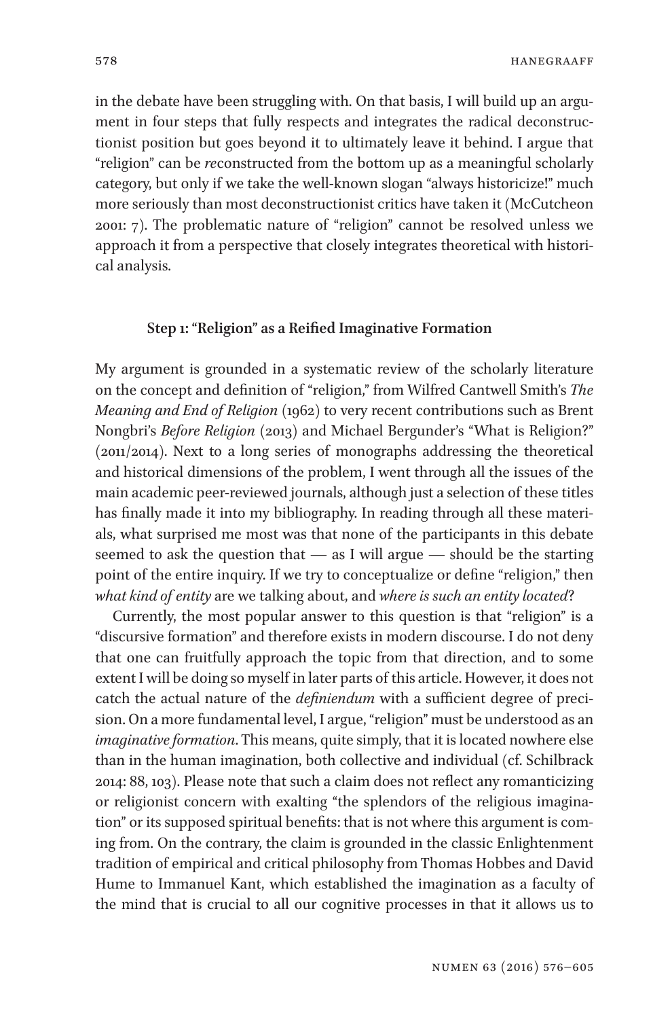in the debate have been struggling with. On that basis, I will build up an argument in four steps that fully respects and integrates the radical deconstructionist position but goes beyond it to ultimately leave it behind. I argue that "religion" can be *re*constructed from the bottom up as a meaningful scholarly category, but only if we take the well-known slogan "always historicize!" much more seriously than most deconstructionist critics have taken it (McCutcheon 2001: 7). The problematic nature of "religion" cannot be resolved unless we approach it from a perspective that closely integrates theoretical with historical analysis.

#### **Step 1: "Religion" as a Reified Imaginative Formation**

My argument is grounded in a systematic review of the scholarly literature on the concept and definition of "religion," from Wilfred Cantwell Smith's *The Meaning and End of Religion* (1962) to very recent contributions such as Brent Nongbri's *Before Religion* (2013) and Michael Bergunder's "What is Religion?" (2011/2014). Next to a long series of monographs addressing the theoretical and historical dimensions of the problem, I went through all the issues of the main academic peer-reviewed journals, although just a selection of these titles has finally made it into my bibliography. In reading through all these materials, what surprised me most was that none of the participants in this debate seemed to ask the question that — as I will argue — should be the starting point of the entire inquiry. If we try to conceptualize or define "religion," then *what kind of entity* are we talking about, and *where is such an entity located*?

Currently, the most popular answer to this question is that "religion" is a "discursive formation" and therefore exists in modern discourse. I do not deny that one can fruitfully approach the topic from that direction, and to some extent I will be doing so myself in later parts of this article. However, it does not catch the actual nature of the *definiendum* with a sufficient degree of precision. On a more fundamental level, I argue, "religion" must be understood as an *imaginative formation*. This means, quite simply, that it is located nowhere else than in the human imagination, both collective and individual (cf. Schilbrack 2014: 88, 103). Please note that such a claim does not reflect any romanticizing or religionist concern with exalting "the splendors of the religious imagination" or its supposed spiritual benefits: that is not where this argument is coming from. On the contrary, the claim is grounded in the classic Enlightenment tradition of empirical and critical philosophy from Thomas Hobbes and David Hume to Immanuel Kant, which established the imagination as a faculty of the mind that is crucial to all our cognitive processes in that it allows us to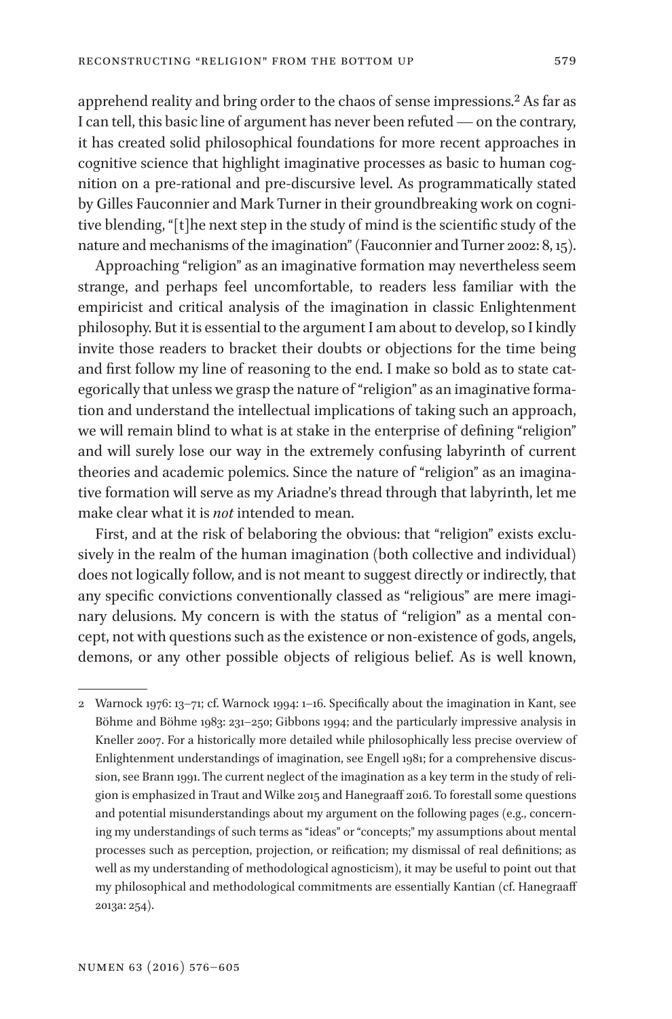apprehend reality and bring order to the chaos of sense impressions.<sup>2</sup> As far as I can tell, this basic line of argument has never been refuted — on the contrary, it has created solid philosophical foundations for more recent approaches in cognitive science that highlight imaginative processes as basic to human cognition on a pre-rational and pre-discursive level. As programmatically stated by Gilles Fauconnier and Mark Turner in their groundbreaking work on cognitive blending, "[t]he next step in the study of mind is the scientific study of the nature and mechanisms of the imagination" (Fauconnier and Turner 2002: 8, 15).

Approaching "religion" as an imaginative formation may nevertheless seem strange, and perhaps feel uncomfortable, to readers less familiar with the empiricist and critical analysis of the imagination in classic Enlightenment philosophy. But it is essential to the argument I am about to develop, so I kindly invite those readers to bracket their doubts or objections for the time being and first follow my line of reasoning to the end. I make so bold as to state categorically that unless we grasp the nature of "religion" as an imaginative formation and understand the intellectual implications of taking such an approach, we will remain blind to what is at stake in the enterprise of defining "religion" and will surely lose our way in the extremely confusing labyrinth of current theories and academic polemics. Since the nature of "religion" as an imaginative formation will serve as my Ariadne's thread through that labyrinth, let me make clear what it is *not* intended to mean.

First, and at the risk of belaboring the obvious: that "religion" exists exclusively in the realm of the human imagination (both collective and individual) does not logically follow, and is not meant to suggest directly or indirectly, that any specific convictions conventionally classed as "religious" are mere imaginary delusions. My concern is with the status of "religion" as a mental concept, not with questions such as the existence or non-existence of gods, angels, demons, or any other possible objects of religious belief. As is well known,

<sup>2</sup> Warnock 1976: 13–71; cf. Warnock 1994: 1–16. Specifically about the imagination in Kant, see Böhme and Böhme 1983: 231–250; Gibbons 1994; and the particularly impressive analysis in Kneller 2007. For a historically more detailed while philosophically less precise overview of Enlightenment understandings of imagination, see Engell 1981; for a comprehensive discussion, see Brann 1991. The current neglect of the imagination as a key term in the study of religion is emphasized in Traut and Wilke 2015 and Hanegraaff 2016. To forestall some questions and potential misunderstandings about my argument on the following pages (e.g., concerning my understandings of such terms as "ideas" or "concepts;" my assumptions about mental processes such as perception, projection, or reification; my dismissal of real definitions; as well as my understanding of methodological agnosticism), it may be useful to point out that my philosophical and methodological commitments are essentially Kantian (cf. Hanegraaff 2013a: 254).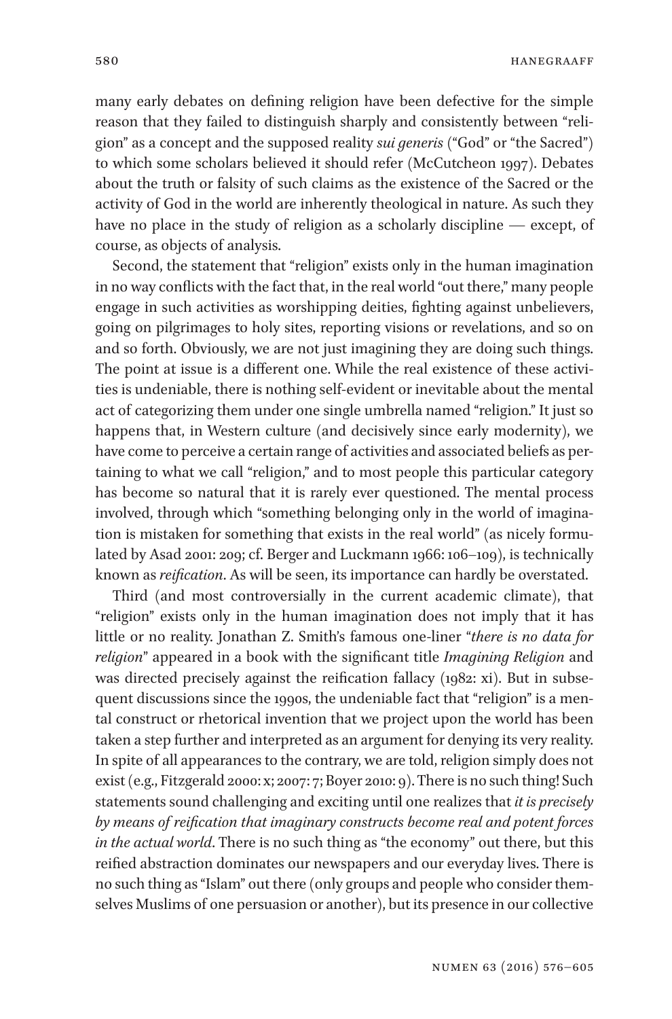many early debates on defining religion have been defective for the simple reason that they failed to distinguish sharply and consistently between "religion" as a concept and the supposed reality *sui generis* ("God" or "the Sacred") to which some scholars believed it should refer (McCutcheon 1997). Debates about the truth or falsity of such claims as the existence of the Sacred or the activity of God in the world are inherently theological in nature. As such they have no place in the study of religion as a scholarly discipline — except, of course, as objects of analysis.

Second, the statement that "religion" exists only in the human imagination in no way conflicts with the fact that, in the real world "out there," many people engage in such activities as worshipping deities, fighting against unbelievers, going on pilgrimages to holy sites, reporting visions or revelations, and so on and so forth. Obviously, we are not just imagining they are doing such things. The point at issue is a different one. While the real existence of these activities is undeniable, there is nothing self-evident or inevitable about the mental act of categorizing them under one single umbrella named "religion." It just so happens that, in Western culture (and decisively since early modernity), we have come to perceive a certain range of activities and associated beliefs as pertaining to what we call "religion," and to most people this particular category has become so natural that it is rarely ever questioned. The mental process involved, through which "something belonging only in the world of imagination is mistaken for something that exists in the real world" (as nicely formulated by Asad 2001: 209; cf. Berger and Luckmann 1966: 106–109), is technically known as *reification*. As will be seen, its importance can hardly be overstated.

Third (and most controversially in the current academic climate), that "religion" exists only in the human imagination does not imply that it has little or no reality. Jonathan Z. Smith's famous one-liner "*there is no data for religion*" appeared in a book with the significant title *Imagining Religion* and was directed precisely against the reification fallacy (1982: xi). But in subsequent discussions since the 1990s, the undeniable fact that "religion" is a mental construct or rhetorical invention that we project upon the world has been taken a step further and interpreted as an argument for denying its very reality. In spite of all appearances to the contrary, we are told, religion simply does not exist (e.g., Fitzgerald 2000: x; 2007: 7; Boyer 2010: 9). There is no such thing! Such statements sound challenging and exciting until one realizes that *it is precisely by means of reification that imaginary constructs become real and potent forces in the actual world*. There is no such thing as "the economy" out there, but this reified abstraction dominates our newspapers and our everyday lives. There is no such thing as "Islam" out there (only groups and people who consider themselves Muslims of one persuasion or another), but its presence in our collective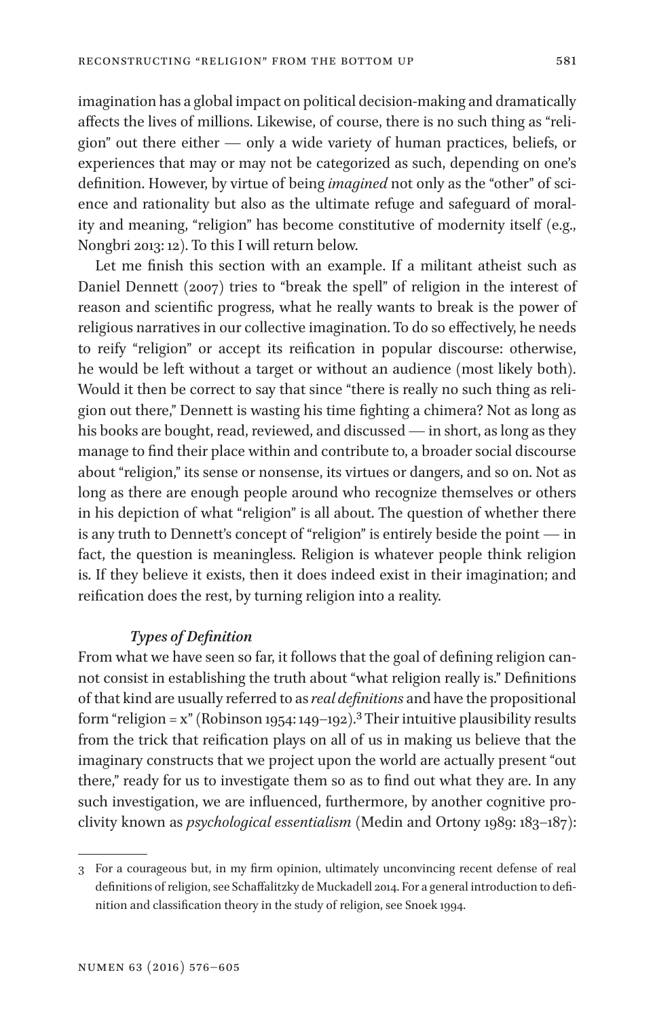imagination has a global impact on political decision-making and dramatically affects the lives of millions. Likewise, of course, there is no such thing as "religion" out there either — only a wide variety of human practices, beliefs, or experiences that may or may not be categorized as such, depending on one's definition. However, by virtue of being *imagined* not only as the "other" of science and rationality but also as the ultimate refuge and safeguard of morality and meaning, "religion" has become constitutive of modernity itself (e.g., Nongbri 2013: 12). To this I will return below.

Let me finish this section with an example. If a militant atheist such as Daniel Dennett (2007) tries to "break the spell" of religion in the interest of reason and scientific progress, what he really wants to break is the power of religious narratives in our collective imagination. To do so effectively, he needs to reify "religion" or accept its reification in popular discourse: otherwise, he would be left without a target or without an audience (most likely both). Would it then be correct to say that since "there is really no such thing as religion out there," Dennett is wasting his time fighting a chimera? Not as long as his books are bought, read, reviewed, and discussed — in short, as long as they manage to find their place within and contribute to, a broader social discourse about "religion," its sense or nonsense, its virtues or dangers, and so on. Not as long as there are enough people around who recognize themselves or others in his depiction of what "religion" is all about. The question of whether there is any truth to Dennett's concept of "religion" is entirely beside the point — in fact, the question is meaningless. Religion is whatever people think religion is. If they believe it exists, then it does indeed exist in their imagination; and reification does the rest, by turning religion into a reality.

#### *Types of Definition*

From what we have seen so far, it follows that the goal of defining religion cannot consist in establishing the truth about "what religion really is." Definitions of that kind are usually referred to as *real definitions* and have the propositional form "religion =  $x$ " (Robinson 1954: 149–192).<sup>3</sup> Their intuitive plausibility results from the trick that reification plays on all of us in making us believe that the imaginary constructs that we project upon the world are actually present "out there," ready for us to investigate them so as to find out what they are. In any such investigation, we are influenced, furthermore, by another cognitive proclivity known as *psychological essentialism* (Medin and Ortony 1989: 183–187):

<sup>3</sup> For a courageous but, in my firm opinion, ultimately unconvincing recent defense of real definitions of religion, see Schaffalitzky de Muckadell 2014. For a general introduction to definition and classification theory in the study of religion, see Snoek 1994.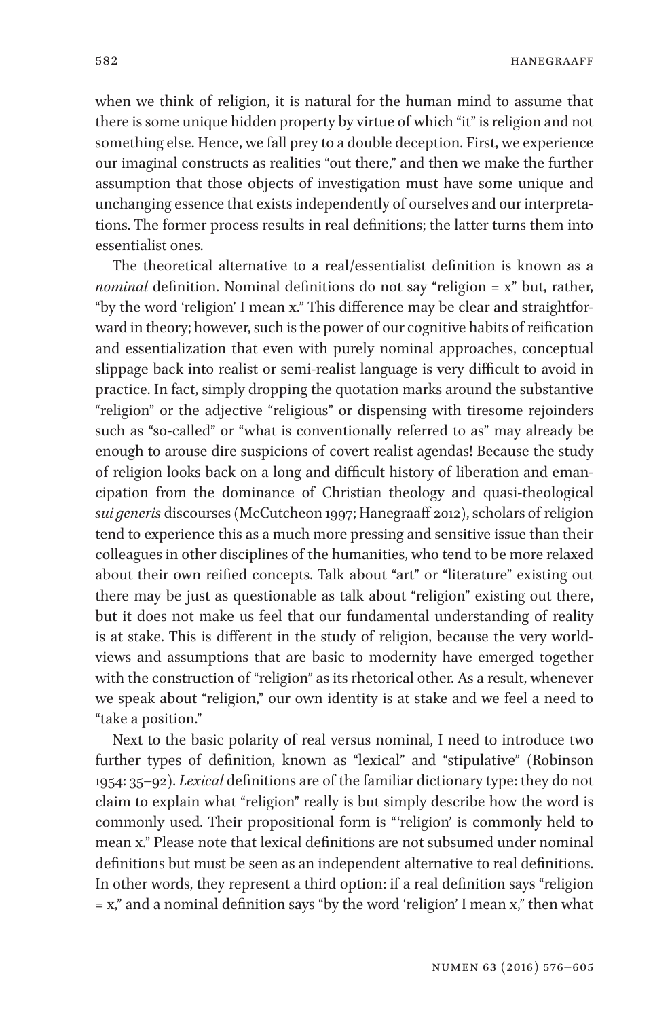when we think of religion, it is natural for the human mind to assume that there is some unique hidden property by virtue of which "it" is religion and not something else. Hence, we fall prey to a double deception. First, we experience our imaginal constructs as realities "out there," and then we make the further assumption that those objects of investigation must have some unique and unchanging essence that exists independently of ourselves and our interpretations. The former process results in real definitions; the latter turns them into essentialist ones.

The theoretical alternative to a real/essentialist definition is known as a *nominal* definition. Nominal definitions do not say "religion = x" but, rather, "by the word 'religion' I mean x." This difference may be clear and straightforward in theory; however, such is the power of our cognitive habits of reification and essentialization that even with purely nominal approaches, conceptual slippage back into realist or semi-realist language is very difficult to avoid in practice. In fact, simply dropping the quotation marks around the substantive "religion" or the adjective "religious" or dispensing with tiresome rejoinders such as "so-called" or "what is conventionally referred to as" may already be enough to arouse dire suspicions of covert realist agendas! Because the study of religion looks back on a long and difficult history of liberation and emancipation from the dominance of Christian theology and quasi-theological *sui generis* discourses (McCutcheon 1997; Hanegraaff 2012), scholars of religion tend to experience this as a much more pressing and sensitive issue than their colleagues in other disciplines of the humanities, who tend to be more relaxed about their own reified concepts. Talk about "art" or "literature" existing out there may be just as questionable as talk about "religion" existing out there, but it does not make us feel that our fundamental understanding of reality is at stake. This is different in the study of religion, because the very worldviews and assumptions that are basic to modernity have emerged together with the construction of "religion" as its rhetorical other. As a result, whenever we speak about "religion," our own identity is at stake and we feel a need to "take a position."

Next to the basic polarity of real versus nominal, I need to introduce two further types of definition, known as "lexical" and "stipulative" (Robinson 1954: 35–92). *Lexical* definitions are of the familiar dictionary type: they do not claim to explain what "religion" really is but simply describe how the word is commonly used. Their propositional form is " 'religion' is commonly held to mean x." Please note that lexical definitions are not subsumed under nominal definitions but must be seen as an independent alternative to real definitions. In other words, they represent a third option: if a real definition says "religion  $= x''$ , and a nominal definition says "by the word 'religion' I mean  $x''$ , then what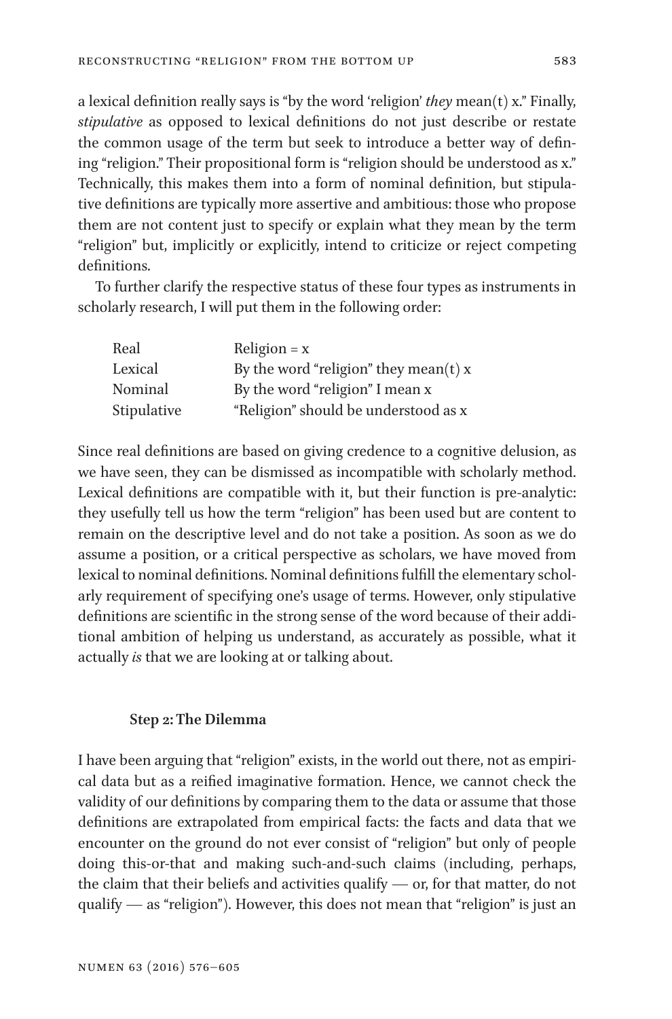a lexical definition really says is "by the word 'religion' *they* mean(t) x." Finally, *stipulative* as opposed to lexical definitions do not just describe or restate the common usage of the term but seek to introduce a better way of defining "religion." Their propositional form is "religion should be understood as x." Technically, this makes them into a form of nominal definition, but stipulative definitions are typically more assertive and ambitious: those who propose them are not content just to specify or explain what they mean by the term "religion" but, implicitly or explicitly, intend to criticize or reject competing definitions.

To further clarify the respective status of these four types as instruments in scholarly research, I will put them in the following order:

| Real        | $Religion = x$                        |
|-------------|---------------------------------------|
| Lexical     | By the word "religion" they mean(t) x |
| Nominal     | By the word "religion" I mean x       |
| Stipulative | "Religion" should be understood as x  |

Since real definitions are based on giving credence to a cognitive delusion, as we have seen, they can be dismissed as incompatible with scholarly method. Lexical definitions are compatible with it, but their function is pre-analytic: they usefully tell us how the term "religion" has been used but are content to remain on the descriptive level and do not take a position. As soon as we do assume a position, or a critical perspective as scholars, we have moved from lexical to nominal definitions. Nominal definitions fulfill the elementary scholarly requirement of specifying one's usage of terms. However, only stipulative definitions are scientific in the strong sense of the word because of their additional ambition of helping us understand, as accurately as possible, what it actually *is* that we are looking at or talking about.

#### **Step 2: The Dilemma**

I have been arguing that "religion" exists, in the world out there, not as empirical data but as a reified imaginative formation. Hence, we cannot check the validity of our definitions by comparing them to the data or assume that those definitions are extrapolated from empirical facts: the facts and data that we encounter on the ground do not ever consist of "religion" but only of people doing this-or-that and making such-and-such claims (including, perhaps, the claim that their beliefs and activities qualify — or, for that matter, do not qualify — as "religion"). However, this does not mean that "religion" is just an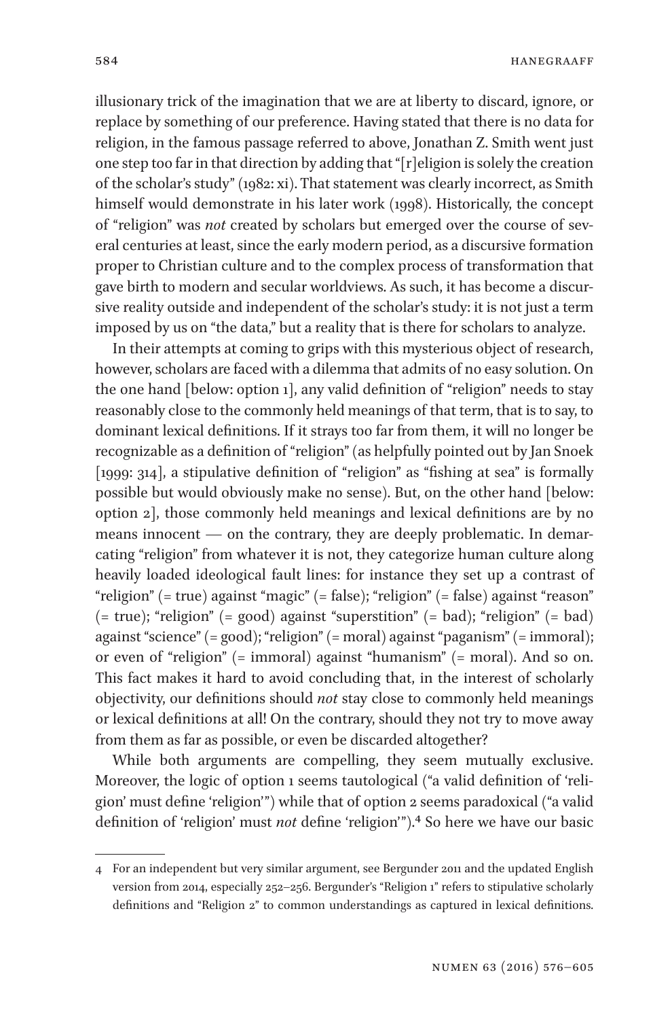illusionary trick of the imagination that we are at liberty to discard, ignore, or replace by something of our preference. Having stated that there is no data for religion, in the famous passage referred to above, Jonathan Z. Smith went just one step too far in that direction by adding that "[r]eligion is solely the creation of the scholar's study" (1982: xi). That statement was clearly incorrect, as Smith himself would demonstrate in his later work (1998). Historically, the concept of "religion" was *not* created by scholars but emerged over the course of several centuries at least, since the early modern period, as a discursive formation proper to Christian culture and to the complex process of transformation that gave birth to modern and secular worldviews. As such, it has become a discursive reality outside and independent of the scholar's study: it is not just a term imposed by us on "the data," but a reality that is there for scholars to analyze.

In their attempts at coming to grips with this mysterious object of research, however, scholars are faced with a dilemma that admits of no easy solution. On the one hand [below: option 1], any valid definition of "religion" needs to stay reasonably close to the commonly held meanings of that term, that is to say, to dominant lexical definitions. If it strays too far from them, it will no longer be recognizable as a definition of "religion" (as helpfully pointed out by Jan Snoek [1999: 314], a stipulative definition of "religion" as "fishing at sea" is formally possible but would obviously make no sense). But, on the other hand [below: option 2], those commonly held meanings and lexical definitions are by no means innocent — on the contrary, they are deeply problematic. In demarcating "religion" from whatever it is not, they categorize human culture along heavily loaded ideological fault lines: for instance they set up a contrast of "religion" (= true) against "magic" (= false); "religion" (= false) against "reason"  $($  = true); "religion"  $($  = good) against "superstition"  $($  = bad); "religion"  $($  = bad) against "science" (= good); "religion" (= moral) against "paganism" (= immoral); or even of "religion" (= immoral) against "humanism" (= moral). And so on. This fact makes it hard to avoid concluding that, in the interest of scholarly objectivity, our definitions should *not* stay close to commonly held meanings or lexical definitions at all! On the contrary, should they not try to move away from them as far as possible, or even be discarded altogether?

While both arguments are compelling, they seem mutually exclusive. Moreover, the logic of option 1 seems tautological ("a valid definition of 'religion' must define 'religion' ") while that of option 2 seems paradoxical ("a valid definition of 'religion' must *not* define 'religion' ").4 So here we have our basic

<sup>4</sup> For an independent but very similar argument, see Bergunder 2011 and the updated English version from 2014, especially 252–256. Bergunder's "Religion 1" refers to stipulative scholarly definitions and "Religion 2" to common understandings as captured in lexical definitions.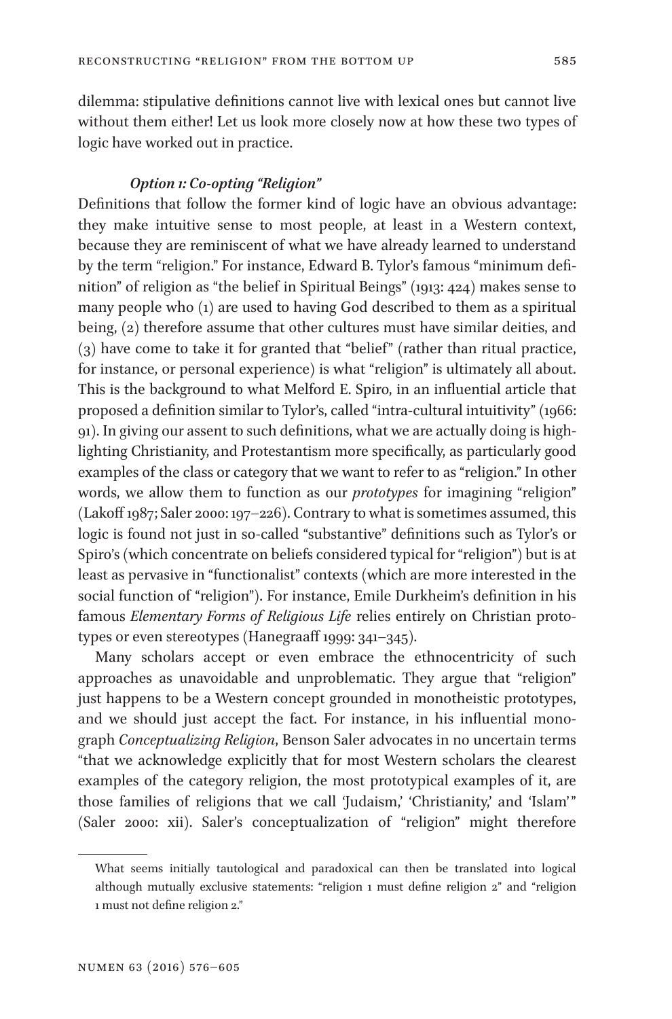dilemma: stipulative definitions cannot live with lexical ones but cannot live without them either! Let us look more closely now at how these two types of logic have worked out in practice.

#### *Option 1: Co-opting "Religion"*

Definitions that follow the former kind of logic have an obvious advantage: they make intuitive sense to most people, at least in a Western context, because they are reminiscent of what we have already learned to understand by the term "religion." For instance, Edward B. Tylor's famous "minimum definition" of religion as "the belief in Spiritual Beings" (1913: 424) makes sense to many people who (1) are used to having God described to them as a spiritual being, (2) therefore assume that other cultures must have similar deities, and (3) have come to take it for granted that "belief" (rather than ritual practice, for instance, or personal experience) is what "religion" is ultimately all about. This is the background to what Melford E. Spiro, in an influential article that proposed a definition similar to Tylor's, called "intra-cultural intuitivity" (1966: 91). In giving our assent to such definitions, what we are actually doing is highlighting Christianity, and Protestantism more specifically, as particularly good examples of the class or category that we want to refer to as "religion." In other words, we allow them to function as our *prototypes* for imagining "religion" (Lakoff 1987; Saler 2000: 197–226). Contrary to what is sometimes assumed, this logic is found not just in so-called "substantive" definitions such as Tylor's or Spiro's (which concentrate on beliefs considered typical for "religion") but is at least as pervasive in "functionalist" contexts (which are more interested in the social function of "religion"). For instance, Emile Durkheim's definition in his famous *Elementary Forms of Religious Life* relies entirely on Christian prototypes or even stereotypes (Hanegraaff 1999: 341–345).

Many scholars accept or even embrace the ethnocentricity of such approaches as unavoidable and unproblematic. They argue that "religion" just happens to be a Western concept grounded in monotheistic prototypes, and we should just accept the fact. For instance, in his influential monograph *Conceptualizing Religion*, Benson Saler advocates in no uncertain terms "that we acknowledge explicitly that for most Western scholars the clearest examples of the category religion, the most prototypical examples of it, are those families of religions that we call 'Judaism,' 'Christianity,' and 'Islam' " (Saler 2000: xii). Saler's conceptualization of "religion" might therefore

What seems initially tautological and paradoxical can then be translated into logical although mutually exclusive statements: "religion 1 must define religion 2" and "religion 1 must not define religion 2."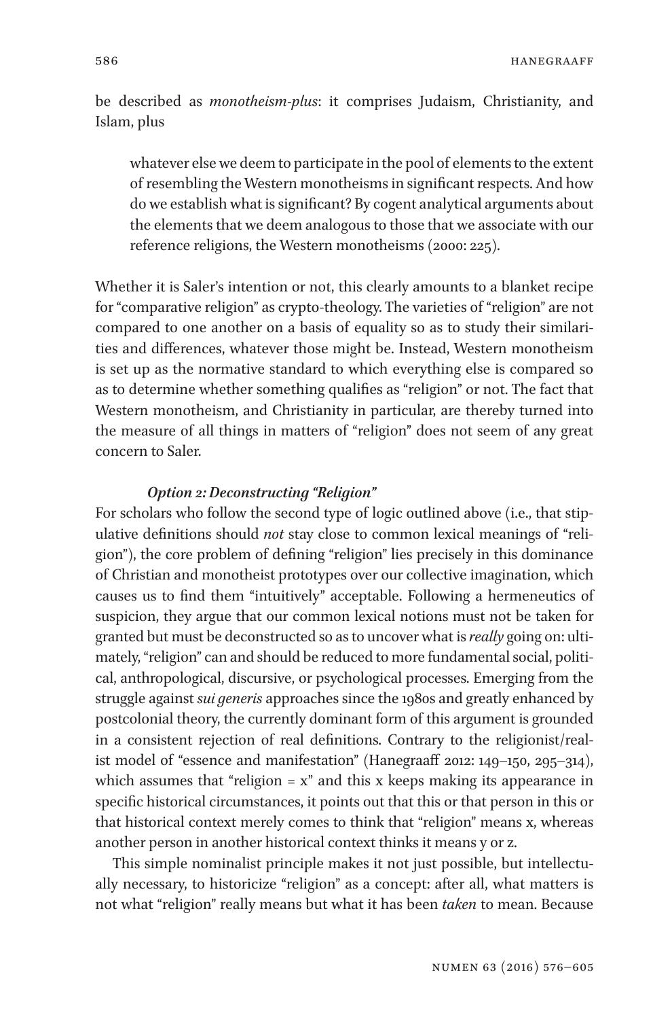be described as *monotheism-plus*: it comprises Judaism, Christianity, and Islam, plus

whatever else we deem to participate in the pool of elements to the extent of resembling the Western monotheisms in significant respects. And how do we establish what is significant? By cogent analytical arguments about the elements that we deem analogous to those that we associate with our reference religions, the Western monotheisms (2000: 225).

Whether it is Saler's intention or not, this clearly amounts to a blanket recipe for "comparative religion" as crypto-theology. The varieties of "religion" are not compared to one another on a basis of equality so as to study their similarities and differences, whatever those might be. Instead, Western monotheism is set up as the normative standard to which everything else is compared so as to determine whether something qualifies as "religion" or not. The fact that Western monotheism, and Christianity in particular, are thereby turned into the measure of all things in matters of "religion" does not seem of any great concern to Saler.

#### *Option 2: Deconstructing "Religion"*

For scholars who follow the second type of logic outlined above (i.e., that stipulative definitions should *not* stay close to common lexical meanings of "religion"), the core problem of defining "religion" lies precisely in this dominance of Christian and monotheist prototypes over our collective imagination, which causes us to find them "intuitively" acceptable. Following a hermeneutics of suspicion, they argue that our common lexical notions must not be taken for granted but must be deconstructed so as to uncover what is *really* going on: ultimately, "religion" can and should be reduced to more fundamental social, political, anthropological, discursive, or psychological processes. Emerging from the struggle against *sui generis* approaches since the 1980s and greatly enhanced by postcolonial theory, the currently dominant form of this argument is grounded in a consistent rejection of real definitions. Contrary to the religionist/realist model of "essence and manifestation" (Hanegraaff 2012: 149–150, 295–314), which assumes that "religion  $= x$ " and this x keeps making its appearance in specific historical circumstances, it points out that this or that person in this or that historical context merely comes to think that "religion" means x, whereas another person in another historical context thinks it means y or z.

This simple nominalist principle makes it not just possible, but intellectually necessary, to historicize "religion" as a concept: after all, what matters is not what "religion" really means but what it has been *taken* to mean. Because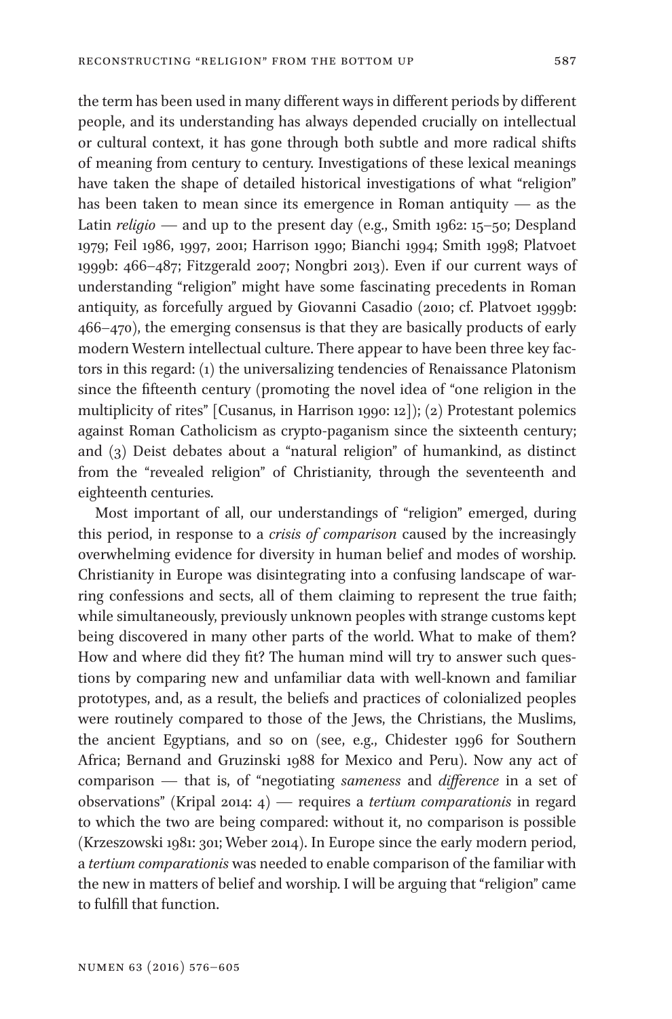the term has been used in many different ways in different periods by different people, and its understanding has always depended crucially on intellectual or cultural context, it has gone through both subtle and more radical shifts of meaning from century to century. Investigations of these lexical meanings have taken the shape of detailed historical investigations of what "religion" has been taken to mean since its emergence in Roman antiquity — as the Latin *religio* — and up to the present day (e.g., Smith 1962: 15–50; Despland 1979; Feil 1986, 1997, 2001; Harrison 1990; Bianchi 1994; Smith 1998; Platvoet 1999b: 466–487; Fitzgerald 2007; Nongbri 2013). Even if our current ways of understanding "religion" might have some fascinating precedents in Roman antiquity, as forcefully argued by Giovanni Casadio (2010; cf. Platvoet 1999b: 466–470), the emerging consensus is that they are basically products of early modern Western intellectual culture. There appear to have been three key factors in this regard: (1) the universalizing tendencies of Renaissance Platonism since the fifteenth century (promoting the novel idea of "one religion in the multiplicity of rites" [Cusanus, in Harrison 1990: 12]); (2) Protestant polemics against Roman Catholicism as crypto-paganism since the sixteenth century; and (3) Deist debates about a "natural religion" of humankind, as distinct from the "revealed religion" of Christianity, through the seventeenth and eighteenth centuries.

Most important of all, our understandings of "religion" emerged, during this period, in response to a *crisis of comparison* caused by the increasingly overwhelming evidence for diversity in human belief and modes of worship. Christianity in Europe was disintegrating into a confusing landscape of warring confessions and sects, all of them claiming to represent the true faith; while simultaneously, previously unknown peoples with strange customs kept being discovered in many other parts of the world. What to make of them? How and where did they fit? The human mind will try to answer such questions by comparing new and unfamiliar data with well-known and familiar prototypes, and, as a result, the beliefs and practices of colonialized peoples were routinely compared to those of the Jews, the Christians, the Muslims, the ancient Egyptians, and so on (see, e.g., Chidester 1996 for Southern Africa; Bernand and Gruzinski 1988 for Mexico and Peru). Now any act of comparison — that is, of "negotiating *sameness* and *difference* in a set of observations" (Kripal 2014: 4) — requires a *tertium comparationis* in regard to which the two are being compared: without it, no comparison is possible (Krzeszowski 1981: 301; Weber 2014). In Europe since the early modern period, a *tertium comparationis* was needed to enable comparison of the familiar with the new in matters of belief and worship. I will be arguing that "religion" came to fulfill that function.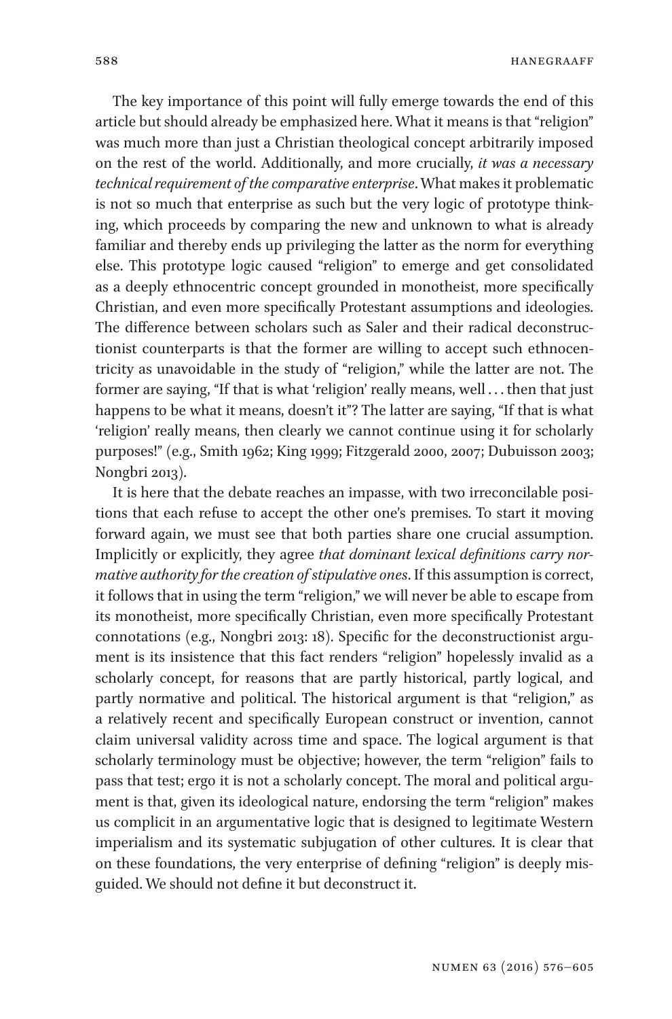The key importance of this point will fully emerge towards the end of this article but should already be emphasized here. What it means is that "religion" was much more than just a Christian theological concept arbitrarily imposed on the rest of the world. Additionally, and more crucially, *it was a necessary technical requirement of the comparative enterprise*. What makes it problematic is not so much that enterprise as such but the very logic of prototype thinking, which proceeds by comparing the new and unknown to what is already familiar and thereby ends up privileging the latter as the norm for everything else. This prototype logic caused "religion" to emerge and get consolidated as a deeply ethnocentric concept grounded in monotheist, more specifically Christian, and even more specifically Protestant assumptions and ideologies. The difference between scholars such as Saler and their radical deconstructionist counterparts is that the former are willing to accept such ethnocentricity as unavoidable in the study of "religion," while the latter are not. The former are saying, "If that is what 'religion' really means, well . . . then that just happens to be what it means, doesn't it"? The latter are saying, "If that is what 'religion' really means, then clearly we cannot continue using it for scholarly purposes!" (e.g., Smith 1962; King 1999; Fitzgerald 2000, 2007; Dubuisson 2003; Nongbri 2013).

It is here that the debate reaches an impasse, with two irreconcilable positions that each refuse to accept the other one's premises. To start it moving forward again, we must see that both parties share one crucial assumption. Implicitly or explicitly, they agree *that dominant lexical definitions carry normative authority for the creation of stipulative ones*. If this assumption is correct, it follows that in using the term "religion," we will never be able to escape from its monotheist, more specifically Christian, even more specifically Protestant connotations (e.g., Nongbri 2013: 18). Specific for the deconstructionist argument is its insistence that this fact renders "religion" hopelessly invalid as a scholarly concept, for reasons that are partly historical, partly logical, and partly normative and political. The historical argument is that "religion," as a relatively recent and specifically European construct or invention, cannot claim universal validity across time and space. The logical argument is that scholarly terminology must be objective; however, the term "religion" fails to pass that test; ergo it is not a scholarly concept. The moral and political argument is that, given its ideological nature, endorsing the term "religion" makes us complicit in an argumentative logic that is designed to legitimate Western imperialism and its systematic subjugation of other cultures. It is clear that on these foundations, the very enterprise of defining "religion" is deeply misguided. We should not define it but deconstruct it.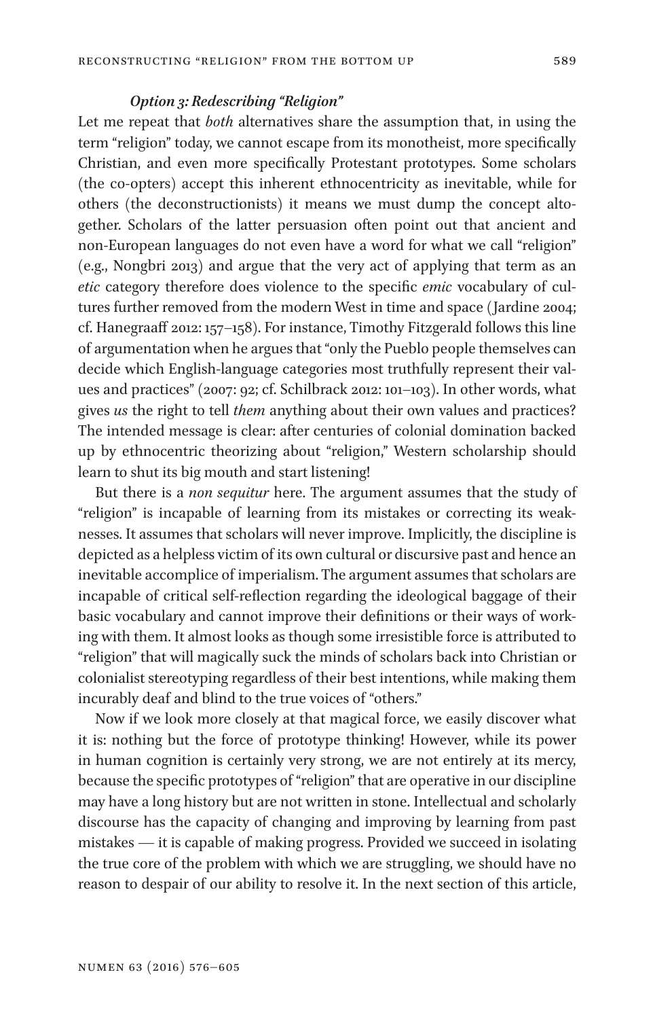#### *Option 3: Redescribing "Religion"*

Let me repeat that *both* alternatives share the assumption that, in using the term "religion" today, we cannot escape from its monotheist, more specifically Christian, and even more specifically Protestant prototypes. Some scholars (the co-opters) accept this inherent ethnocentricity as inevitable, while for others (the deconstructionists) it means we must dump the concept altogether. Scholars of the latter persuasion often point out that ancient and non-European languages do not even have a word for what we call "religion" (e.g., Nongbri 2013) and argue that the very act of applying that term as an *etic* category therefore does violence to the specific *emic* vocabulary of cultures further removed from the modern West in time and space (Jardine 2004; cf. Hanegraaff 2012: 157–158). For instance, Timothy Fitzgerald follows this line of argumentation when he argues that "only the Pueblo people themselves can decide which English-language categories most truthfully represent their values and practices" (2007: 92; cf. Schilbrack 2012: 101–103). In other words, what gives *us* the right to tell *them* anything about their own values and practices? The intended message is clear: after centuries of colonial domination backed up by ethnocentric theorizing about "religion," Western scholarship should learn to shut its big mouth and start listening!

But there is a *non sequitur* here. The argument assumes that the study of "religion" is incapable of learning from its mistakes or correcting its weaknesses. It assumes that scholars will never improve. Implicitly, the discipline is depicted as a helpless victim of its own cultural or discursive past and hence an inevitable accomplice of imperialism. The argument assumes that scholars are incapable of critical self-reflection regarding the ideological baggage of their basic vocabulary and cannot improve their definitions or their ways of working with them. It almost looks as though some irresistible force is attributed to "religion" that will magically suck the minds of scholars back into Christian or colonialist stereotyping regardless of their best intentions, while making them incurably deaf and blind to the true voices of "others."

Now if we look more closely at that magical force, we easily discover what it is: nothing but the force of prototype thinking! However, while its power in human cognition is certainly very strong, we are not entirely at its mercy, because the specific prototypes of "religion" that are operative in our discipline may have a long history but are not written in stone. Intellectual and scholarly discourse has the capacity of changing and improving by learning from past mistakes — it is capable of making progress. Provided we succeed in isolating the true core of the problem with which we are struggling, we should have no reason to despair of our ability to resolve it. In the next section of this article,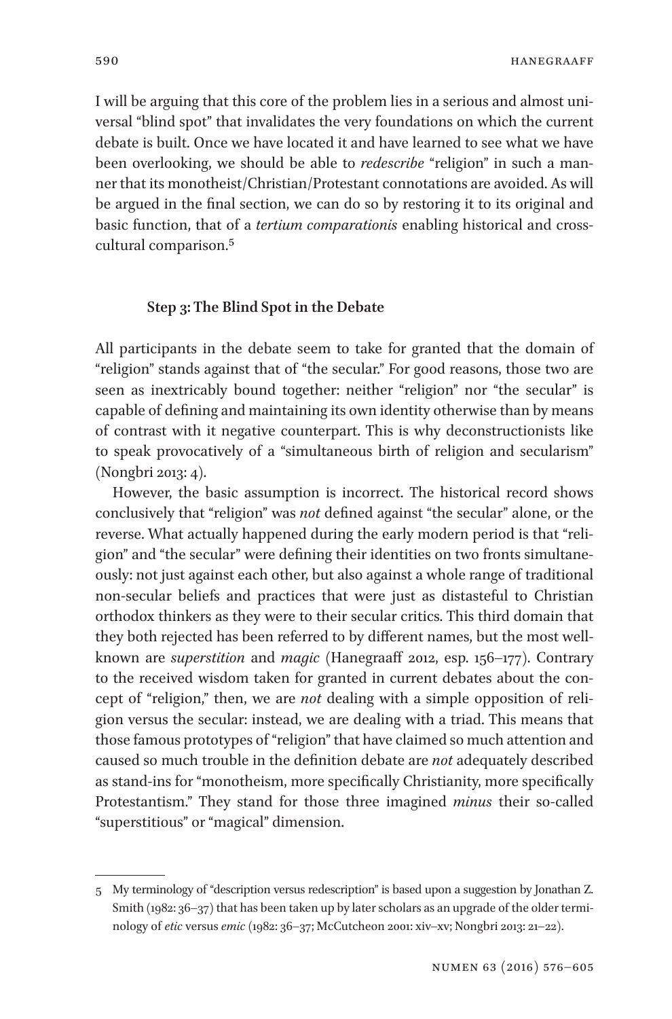I will be arguing that this core of the problem lies in a serious and almost universal "blind spot" that invalidates the very foundations on which the current debate is built. Once we have located it and have learned to see what we have been overlooking, we should be able to *redescribe* "religion" in such a manner that its monotheist/Christian/Protestant connotations are avoided. As will be argued in the final section, we can do so by restoring it to its original and basic function, that of a *tertium comparationis* enabling historical and crosscultural comparison.5

#### **Step 3: The Blind Spot in the Debate**

All participants in the debate seem to take for granted that the domain of "religion" stands against that of "the secular." For good reasons, those two are seen as inextricably bound together: neither "religion" nor "the secular" is capable of defining and maintaining its own identity otherwise than by means of contrast with it negative counterpart. This is why deconstructionists like to speak provocatively of a "simultaneous birth of religion and secularism" (Nongbri 2013: 4).

However, the basic assumption is incorrect. The historical record shows conclusively that "religion" was *not* defined against "the secular" alone, or the reverse. What actually happened during the early modern period is that "religion" and "the secular" were defining their identities on two fronts simultaneously: not just against each other, but also against a whole range of traditional non-secular beliefs and practices that were just as distasteful to Christian orthodox thinkers as they were to their secular critics. This third domain that they both rejected has been referred to by different names, but the most wellknown are *superstition* and *magic* (Hanegraaff 2012, esp. 156–177). Contrary to the received wisdom taken for granted in current debates about the concept of "religion," then, we are *not* dealing with a simple opposition of religion versus the secular: instead, we are dealing with a triad. This means that those famous prototypes of "religion" that have claimed so much attention and caused so much trouble in the definition debate are *not* adequately described as stand-ins for "monotheism, more specifically Christianity, more specifically Protestantism." They stand for those three imagined *minus* their so-called "superstitious" or "magical" dimension.

<sup>5</sup> My terminology of "description versus redescription" is based upon a suggestion by Jonathan Z. Smith (1982: 36–37) that has been taken up by later scholars as an upgrade of the older terminology of *etic* versus *emic* (1982: 36–37; McCutcheon 2001: xiv–xv; Nongbri 2013: 21–22).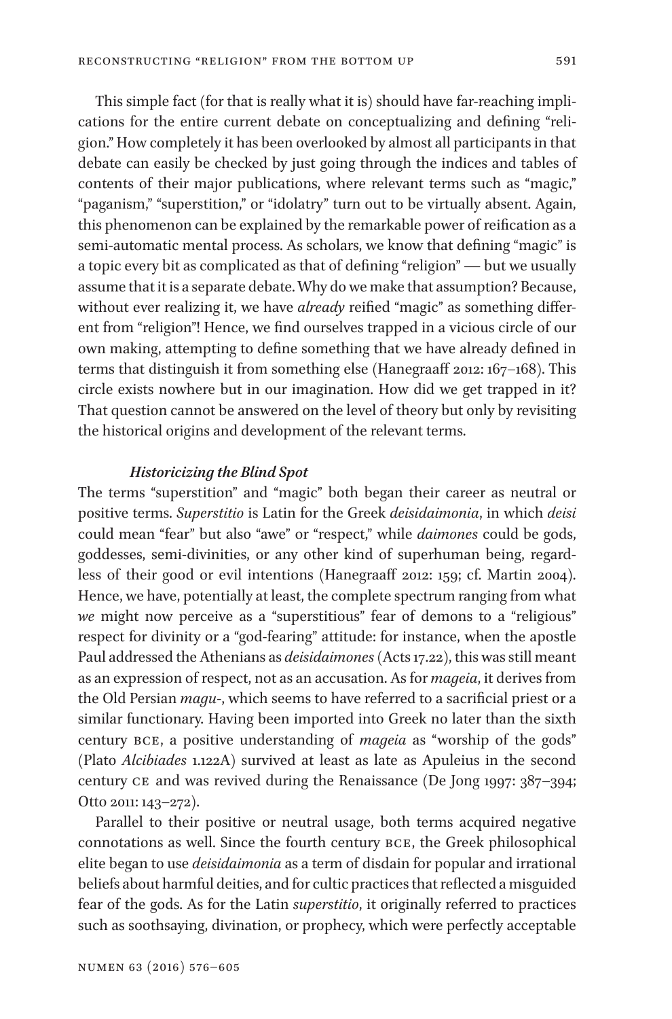This simple fact (for that is really what it is) should have far-reaching implications for the entire current debate on conceptualizing and defining "religion." How completely it has been overlooked by almost all participants in that debate can easily be checked by just going through the indices and tables of contents of their major publications, where relevant terms such as "magic," "paganism," "superstition," or "idolatry" turn out to be virtually absent. Again, this phenomenon can be explained by the remarkable power of reification as a semi-automatic mental process. As scholars, we know that defining "magic" is a topic every bit as complicated as that of defining "religion" — but we usually assume that it is a separate debate. Why do we make that assumption? Because, without ever realizing it, we have *already* reified "magic" as something different from "religion"! Hence, we find ourselves trapped in a vicious circle of our own making, attempting to define something that we have already defined in terms that distinguish it from something else (Hanegraaff 2012: 167–168). This circle exists nowhere but in our imagination. How did we get trapped in it? That question cannot be answered on the level of theory but only by revisiting the historical origins and development of the relevant terms.

#### *Historicizing the Blind Spot*

The terms "superstition" and "magic" both began their career as neutral or positive terms. *Superstitio* is Latin for the Greek *deisidaimonia*, in which *deisi* could mean "fear" but also "awe" or "respect," while *daimones* could be gods, goddesses, semi-divinities, or any other kind of superhuman being, regardless of their good or evil intentions (Hanegraaff 2012: 159; cf. Martin 2004). Hence, we have, potentially at least, the complete spectrum ranging from what *we* might now perceive as a "superstitious" fear of demons to a "religious" respect for divinity or a "god-fearing" attitude: for instance, when the apostle Paul addressed the Athenians as *deisidaimones* (Acts 17.22), this was still meant as an expression of respect, not as an accusation. As for *mageia*, it derives from the Old Persian *magu*-, which seems to have referred to a sacrificial priest or a similar functionary. Having been imported into Greek no later than the sixth century bce, a positive understanding of *mageia* as "worship of the gods" (Plato *Alcibiades* 1.122A) survived at least as late as Apuleius in the second century ce and was revived during the Renaissance (De Jong 1997: 387–394; Otto 2011: 143–272).

Parallel to their positive or neutral usage, both terms acquired negative connotations as well. Since the fourth century bce, the Greek philosophical elite began to use *deisidaimonia* as a term of disdain for popular and irrational beliefs about harmful deities, and for cultic practices that reflected a misguided fear of the gods. As for the Latin *superstitio*, it originally referred to practices such as soothsaying, divination, or prophecy, which were perfectly acceptable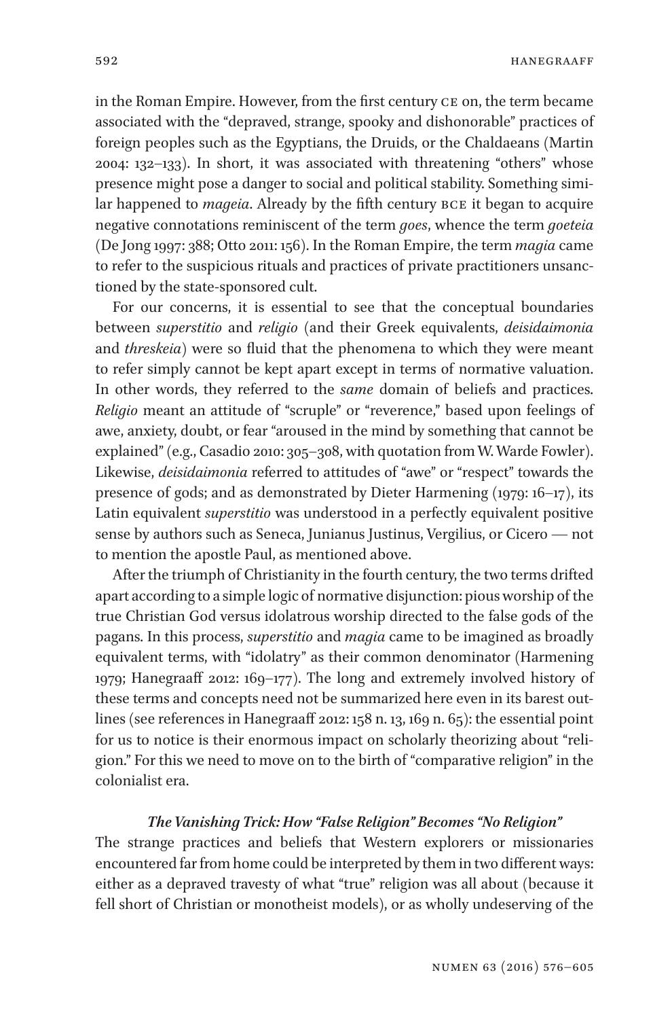in the Roman Empire. However, from the first century ce on, the term became associated with the "depraved, strange, spooky and dishonorable" practices of foreign peoples such as the Egyptians, the Druids, or the Chaldaeans (Martin 2004: 132–133). In short, it was associated with threatening "others" whose presence might pose a danger to social and political stability. Something similar happened to *mageia*. Already by the fifth century bce it began to acquire negative connotations reminiscent of the term *goes*, whence the term *goeteia* (De Jong 1997: 388; Otto 2011: 156). In the Roman Empire, the term *magia* came to refer to the suspicious rituals and practices of private practitioners unsanctioned by the state-sponsored cult.

For our concerns, it is essential to see that the conceptual boundaries between *superstitio* and *religio* (and their Greek equivalents, *deisidaimonia* and *threskeia*) were so fluid that the phenomena to which they were meant to refer simply cannot be kept apart except in terms of normative valuation. In other words, they referred to the *same* domain of beliefs and practices. *Religio* meant an attitude of "scruple" or "reverence," based upon feelings of awe, anxiety, doubt, or fear "aroused in the mind by something that cannot be explained" (e.g., Casadio 2010: 305–308, with quotation from W. Warde Fowler). Likewise, *deisidaimonia* referred to attitudes of "awe" or "respect" towards the presence of gods; and as demonstrated by Dieter Harmening (1979: 16–17), its Latin equivalent *superstitio* was understood in a perfectly equivalent positive sense by authors such as Seneca, Junianus Justinus, Vergilius, or Cicero — not to mention the apostle Paul, as mentioned above.

After the triumph of Christianity in the fourth century, the two terms drifted apart according to a simple logic of normative disjunction: pious worship of the true Christian God versus idolatrous worship directed to the false gods of the pagans. In this process, *superstitio* and *magia* came to be imagined as broadly equivalent terms, with "idolatry" as their common denominator (Harmening 1979; Hanegraaff 2012: 169–177). The long and extremely involved history of these terms and concepts need not be summarized here even in its barest outlines (see references in Hanegraaff 2012: 158 n. 13, 169 n. 65): the essential point for us to notice is their enormous impact on scholarly theorizing about "religion." For this we need to move on to the birth of "comparative religion" in the colonialist era.

#### *The Vanishing Trick: How "False Religion" Becomes "No Religion"*

The strange practices and beliefs that Western explorers or missionaries encountered far from home could be interpreted by them in two different ways: either as a depraved travesty of what "true" religion was all about (because it fell short of Christian or monotheist models), or as wholly undeserving of the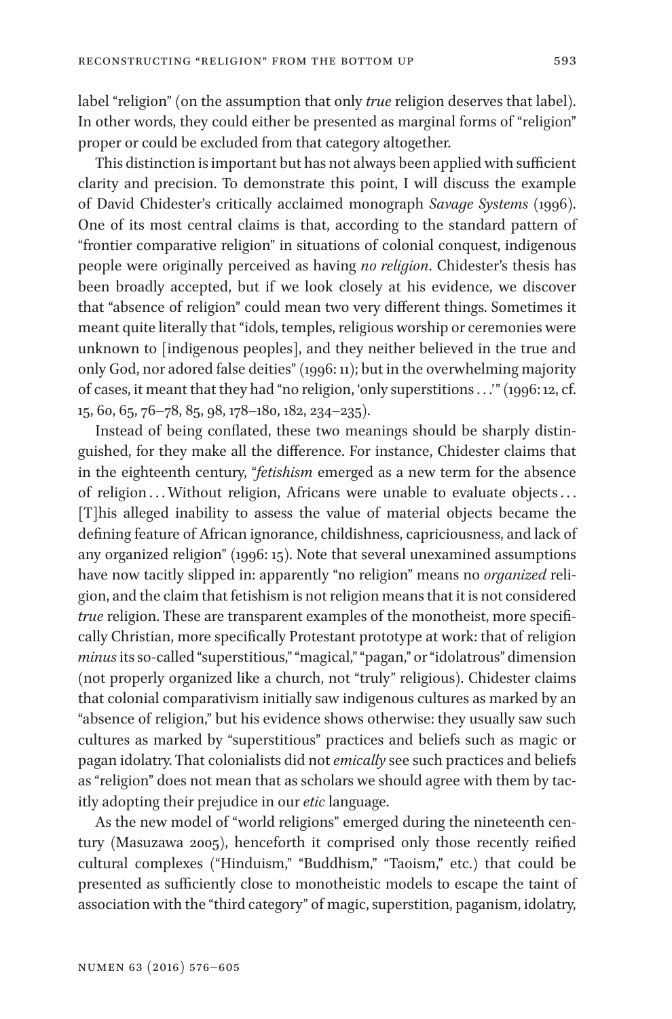label "religion" (on the assumption that only *true* religion deserves that label). In other words, they could either be presented as marginal forms of "religion" proper or could be excluded from that category altogether.

This distinction is important but has not always been applied with sufficient clarity and precision. To demonstrate this point, I will discuss the example of David Chidester's critically acclaimed monograph *Savage Systems* (1996). One of its most central claims is that, according to the standard pattern of "frontier comparative religion" in situations of colonial conquest, indigenous people were originally perceived as having *no religion*. Chidester's thesis has been broadly accepted, but if we look closely at his evidence, we discover that "absence of religion" could mean two very different things. Sometimes it meant quite literally that "idols, temples, religious worship or ceremonies were unknown to [indigenous peoples], and they neither believed in the true and only God, nor adored false deities" (1996: 11); but in the overwhelming majority of cases, it meant that they had "no religion, 'only superstitions . . .' " (1996: 12, cf. 15, 60, 65, 76–78, 85, 98, 178–180, 182, 234–235).

Instead of being conflated, these two meanings should be sharply distinguished, for they make all the difference. For instance, Chidester claims that in the eighteenth century, "*fetishism* emerged as a new term for the absence of religion . . . Without religion, Africans were unable to evaluate objects . . . [T]his alleged inability to assess the value of material objects became the defining feature of African ignorance, childishness, capriciousness, and lack of any organized religion" (1996: 15). Note that several unexamined assumptions have now tacitly slipped in: apparently "no religion" means no *organized* religion, and the claim that fetishism is not religion means that it is not considered *true* religion. These are transparent examples of the monotheist, more specifically Christian, more specifically Protestant prototype at work: that of religion *minus* its so-called "superstitious," "magical," "pagan," or "idolatrous" dimension (not properly organized like a church, not "truly" religious). Chidester claims that colonial comparativism initially saw indigenous cultures as marked by an "absence of religion," but his evidence shows otherwise: they usually saw such cultures as marked by "superstitious" practices and beliefs such as magic or pagan idolatry. That colonialists did not *emically* see such practices and beliefs as "religion" does not mean that as scholars we should agree with them by tacitly adopting their prejudice in our *etic* language.

As the new model of "world religions" emerged during the nineteenth century (Masuzawa 2005), henceforth it comprised only those recently reified cultural complexes ("Hinduism," "Buddhism," "Taoism," etc.) that could be presented as sufficiently close to monotheistic models to escape the taint of association with the "third category" of magic, superstition, paganism, idolatry,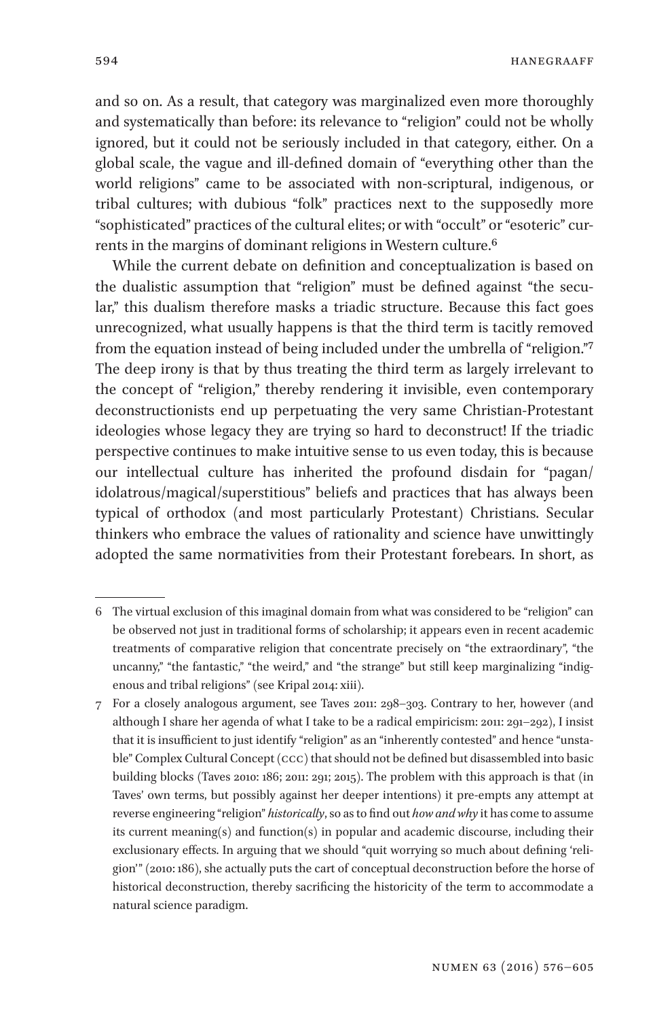and so on. As a result, that category was marginalized even more thoroughly and systematically than before: its relevance to "religion" could not be wholly ignored, but it could not be seriously included in that category, either. On a global scale, the vague and ill-defined domain of "everything other than the world religions" came to be associated with non-scriptural, indigenous, or tribal cultures; with dubious "folk" practices next to the supposedly more "sophisticated" practices of the cultural elites; or with "occult" or "esoteric" currents in the margins of dominant religions in Western culture.6

While the current debate on definition and conceptualization is based on the dualistic assumption that "religion" must be defined against "the secular," this dualism therefore masks a triadic structure. Because this fact goes unrecognized, what usually happens is that the third term is tacitly removed from the equation instead of being included under the umbrella of "religion."7 The deep irony is that by thus treating the third term as largely irrelevant to the concept of "religion," thereby rendering it invisible, even contemporary deconstructionists end up perpetuating the very same Christian-Protestant ideologies whose legacy they are trying so hard to deconstruct! If the triadic perspective continues to make intuitive sense to us even today, this is because our intellectual culture has inherited the profound disdain for "pagan/ idolatrous/magical/superstitious" beliefs and practices that has always been typical of orthodox (and most particularly Protestant) Christians. Secular thinkers who embrace the values of rationality and science have unwittingly adopted the same normativities from their Protestant forebears. In short, as

<sup>6</sup> The virtual exclusion of this imaginal domain from what was considered to be "religion" can be observed not just in traditional forms of scholarship; it appears even in recent academic treatments of comparative religion that concentrate precisely on "the extraordinary", "the uncanny," "the fantastic," "the weird," and "the strange" but still keep marginalizing "indigenous and tribal religions" (see Kripal 2014: xiii).

<sup>7</sup> For a closely analogous argument, see Taves 2011: 298–303. Contrary to her, however (and although I share her agenda of what I take to be a radical empiricism: 2011: 291–292), I insist that it is insufficient to just identify "religion" as an "inherently contested" and hence "unstable" Complex Cultural Concept (CCC) that should not be defined but disassembled into basic building blocks (Taves 2010: 186; 2011: 291; 2015). The problem with this approach is that (in Taves' own terms, but possibly against her deeper intentions) it pre-empts any attempt at reverse engineering "religion" *historically*, so as to find out *how and why* it has come to assume its current meaning(s) and function(s) in popular and academic discourse, including their exclusionary effects. In arguing that we should "quit worrying so much about defining 'religion' " (2010: 186), she actually puts the cart of conceptual deconstruction before the horse of historical deconstruction, thereby sacrificing the historicity of the term to accommodate a natural science paradigm.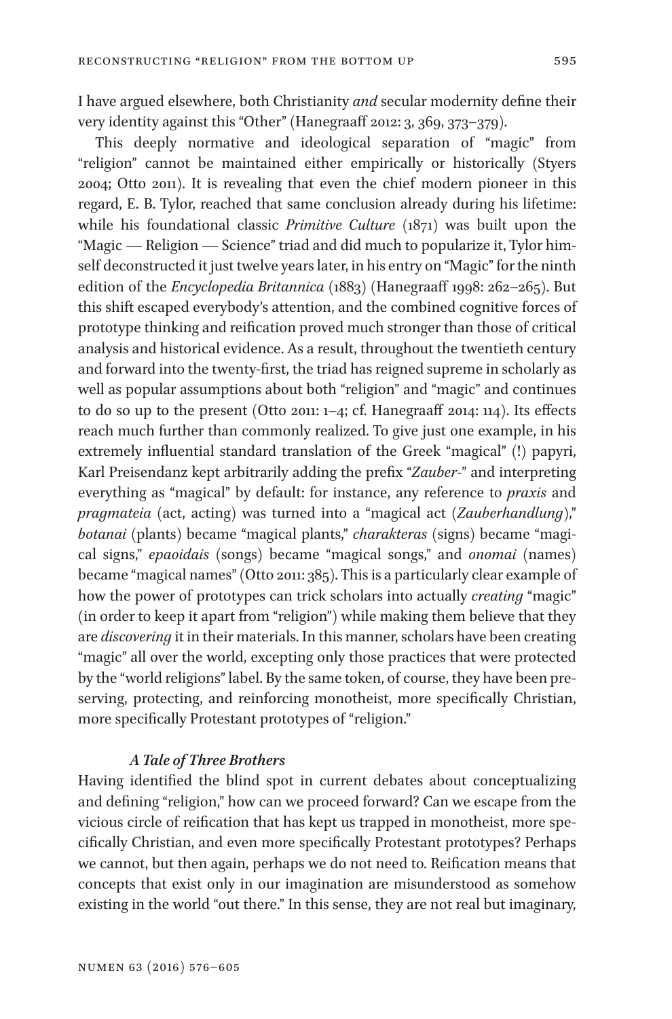I have argued elsewhere, both Christianity *and* secular modernity define their very identity against this "Other" (Hanegraaff 2012: 3, 369, 373–379).

This deeply normative and ideological separation of "magic" from "religion" cannot be maintained either empirically or historically (Styers 2004; Otto 2011). It is revealing that even the chief modern pioneer in this regard, E. B. Tylor, reached that same conclusion already during his lifetime: while his foundational classic *Primitive Culture* (1871) was built upon the "Magic — Religion — Science" triad and did much to popularize it, Tylor himself deconstructed it just twelve years later, in his entry on "Magic" for the ninth edition of the *Encyclopedia Britannica* (1883) (Hanegraaff 1998: 262–265). But this shift escaped everybody's attention, and the combined cognitive forces of prototype thinking and reification proved much stronger than those of critical analysis and historical evidence. As a result, throughout the twentieth century and forward into the twenty-first, the triad has reigned supreme in scholarly as well as popular assumptions about both "religion" and "magic" and continues to do so up to the present (Otto 2011: 1–4; cf. Hanegraaff 2014: 114). Its effects reach much further than commonly realized. To give just one example, in his extremely influential standard translation of the Greek "magical" (!) papyri, Karl Preisendanz kept arbitrarily adding the prefix "*Zauber*-" and interpreting everything as "magical" by default: for instance, any reference to *praxis* and *pragmateia* (act, acting) was turned into a "magical act (*Zauberhandlung*)," *botanai* (plants) became "magical plants," *charakteras* (signs) became "magical signs," *epaoidais* (songs) became "magical songs," and *onomai* (names) became "magical names" (Otto 2011: 385). This is a particularly clear example of how the power of prototypes can trick scholars into actually *creating* "magic" (in order to keep it apart from "religion") while making them believe that they are *discovering* it in their materials. In this manner, scholars have been creating "magic" all over the world, excepting only those practices that were protected by the "world religions" label. By the same token, of course, they have been preserving, protecting, and reinforcing monotheist, more specifically Christian, more specifically Protestant prototypes of "religion."

#### *A Tale of Three Brothers*

Having identified the blind spot in current debates about conceptualizing and defining "religion," how can we proceed forward? Can we escape from the vicious circle of reification that has kept us trapped in monotheist, more specifically Christian, and even more specifically Protestant prototypes? Perhaps we cannot, but then again, perhaps we do not need to. Reification means that concepts that exist only in our imagination are misunderstood as somehow existing in the world "out there." In this sense, they are not real but imaginary,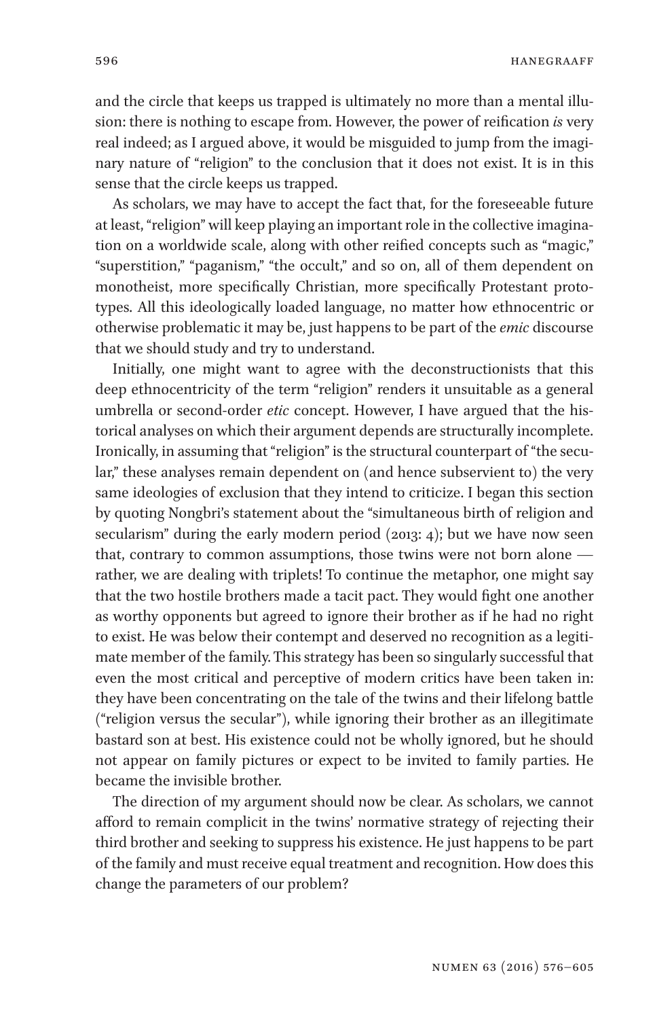and the circle that keeps us trapped is ultimately no more than a mental illusion: there is nothing to escape from. However, the power of reification *is* very real indeed; as I argued above, it would be misguided to jump from the imaginary nature of "religion" to the conclusion that it does not exist. It is in this sense that the circle keeps us trapped.

As scholars, we may have to accept the fact that, for the foreseeable future at least, "religion" will keep playing an important role in the collective imagination on a worldwide scale, along with other reified concepts such as "magic," "superstition," "paganism," "the occult," and so on, all of them dependent on monotheist, more specifically Christian, more specifically Protestant prototypes. All this ideologically loaded language, no matter how ethnocentric or otherwise problematic it may be, just happens to be part of the *emic* discourse that we should study and try to understand.

Initially, one might want to agree with the deconstructionists that this deep ethnocentricity of the term "religion" renders it unsuitable as a general umbrella or second-order *etic* concept. However, I have argued that the historical analyses on which their argument depends are structurally incomplete. Ironically, in assuming that "religion" is the structural counterpart of "the secular," these analyses remain dependent on (and hence subservient to) the very same ideologies of exclusion that they intend to criticize. I began this section by quoting Nongbri's statement about the "simultaneous birth of religion and secularism" during the early modern period (2013: 4); but we have now seen that, contrary to common assumptions, those twins were not born alone rather, we are dealing with triplets! To continue the metaphor, one might say that the two hostile brothers made a tacit pact. They would fight one another as worthy opponents but agreed to ignore their brother as if he had no right to exist. He was below their contempt and deserved no recognition as a legitimate member of the family. This strategy has been so singularly successful that even the most critical and perceptive of modern critics have been taken in: they have been concentrating on the tale of the twins and their lifelong battle ("religion versus the secular"), while ignoring their brother as an illegitimate bastard son at best. His existence could not be wholly ignored, but he should not appear on family pictures or expect to be invited to family parties. He became the invisible brother.

The direction of my argument should now be clear. As scholars, we cannot afford to remain complicit in the twins' normative strategy of rejecting their third brother and seeking to suppress his existence. He just happens to be part of the family and must receive equal treatment and recognition. How does this change the parameters of our problem?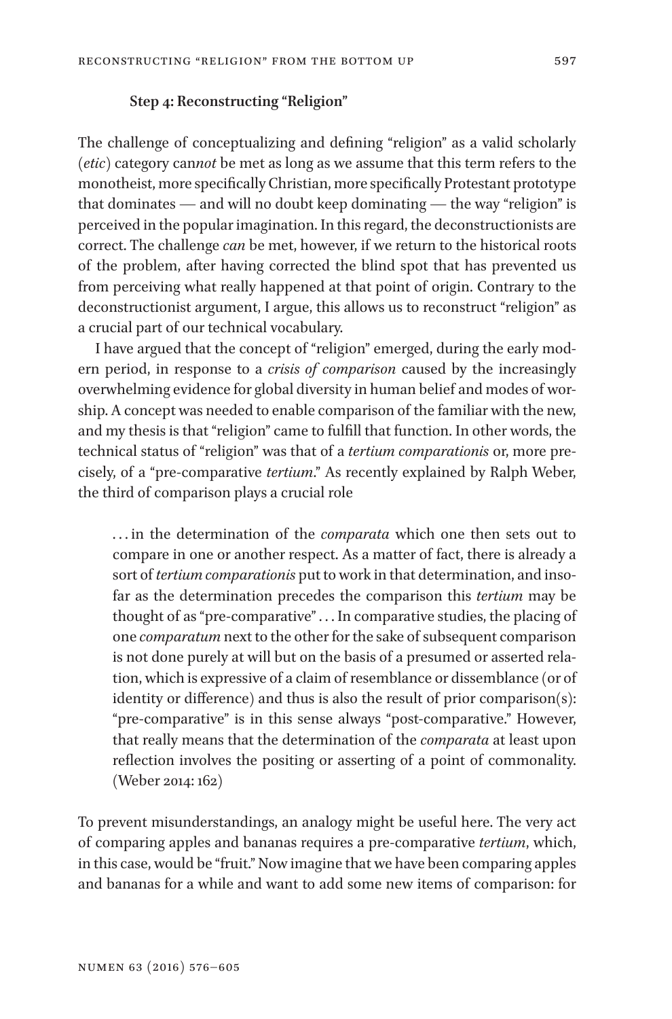#### **Step 4: Reconstructing "Religion"**

The challenge of conceptualizing and defining "religion" as a valid scholarly (*etic*) category can*not* be met as long as we assume that this term refers to the monotheist, more specifically Christian, more specifically Protestant prototype that dominates — and will no doubt keep dominating — the way "religion" is perceived in the popular imagination. In this regard, the deconstructionists are correct. The challenge *can* be met, however, if we return to the historical roots of the problem, after having corrected the blind spot that has prevented us from perceiving what really happened at that point of origin. Contrary to the deconstructionist argument, I argue, this allows us to reconstruct "religion" as a crucial part of our technical vocabulary.

I have argued that the concept of "religion" emerged, during the early modern period, in response to a *crisis of comparison* caused by the increasingly overwhelming evidence for global diversity in human belief and modes of worship. A concept was needed to enable comparison of the familiar with the new, and my thesis is that "religion" came to fulfill that function. In other words, the technical status of "religion" was that of a *tertium comparationis* or, more precisely, of a "pre-comparative *tertium*." As recently explained by Ralph Weber, the third of comparison plays a crucial role

. . . in the determination of the *comparata* which one then sets out to compare in one or another respect. As a matter of fact, there is already a sort of *tertium comparationis* put to work in that determination, and insofar as the determination precedes the comparison this *tertium* may be thought of as "pre-comparative" . . . In comparative studies, the placing of one *comparatum* next to the other for the sake of subsequent comparison is not done purely at will but on the basis of a presumed or asserted relation, which is expressive of a claim of resemblance or dissemblance (or of identity or difference) and thus is also the result of prior comparison(s): "pre-comparative" is in this sense always "post-comparative." However, that really means that the determination of the *comparata* at least upon reflection involves the positing or asserting of a point of commonality. (Weber 2014: 162)

To prevent misunderstandings, an analogy might be useful here. The very act of comparing apples and bananas requires a pre-comparative *tertium*, which, in this case, would be "fruit." Now imagine that we have been comparing apples and bananas for a while and want to add some new items of comparison: for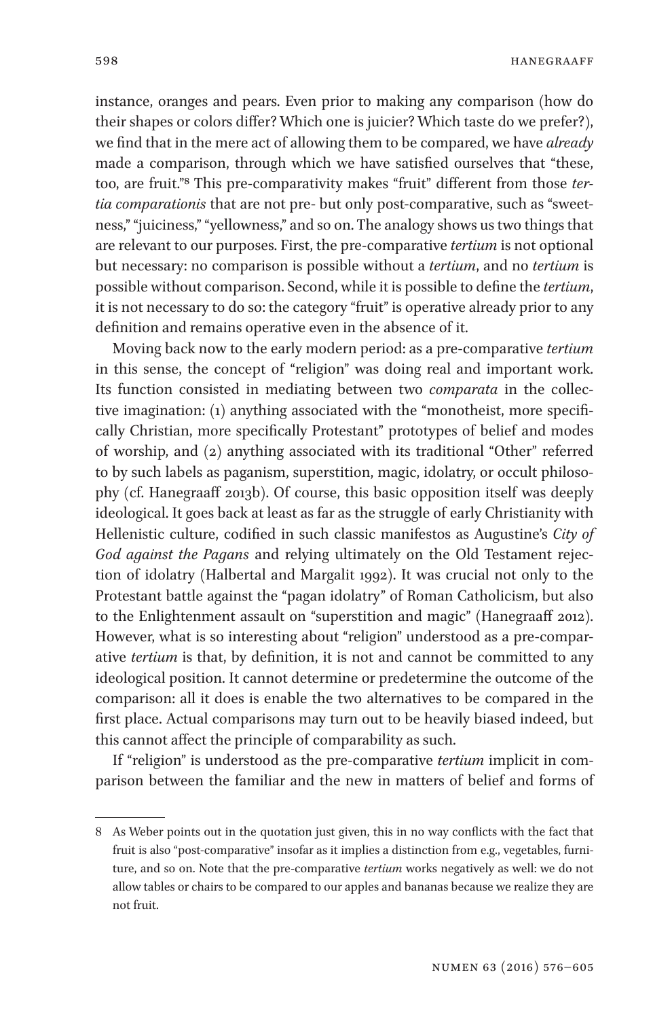instance, oranges and pears. Even prior to making any comparison (how do their shapes or colors differ? Which one is juicier? Which taste do we prefer?), we find that in the mere act of allowing them to be compared, we have *already* made a comparison, through which we have satisfied ourselves that "these, too, are fruit."8 This pre-comparativity makes "fruit" different from those *tertia comparationis* that are not pre- but only post-comparative, such as "sweetness," "juiciness," "yellowness," and so on. The analogy shows us two things that are relevant to our purposes. First, the pre-comparative *tertium* is not optional but necessary: no comparison is possible without a *tertium*, and no *tertium* is possible without comparison. Second, while it is possible to define the *tertium*, it is not necessary to do so: the category "fruit" is operative already prior to any definition and remains operative even in the absence of it.

Moving back now to the early modern period: as a pre-comparative *tertium* in this sense, the concept of "religion" was doing real and important work. Its function consisted in mediating between two *comparata* in the collective imagination: (1) anything associated with the "monotheist, more specifically Christian, more specifically Protestant" prototypes of belief and modes of worship, and (2) anything associated with its traditional "Other" referred to by such labels as paganism, superstition, magic, idolatry, or occult philosophy (cf. Hanegraaff 2013b). Of course, this basic opposition itself was deeply ideological. It goes back at least as far as the struggle of early Christianity with Hellenistic culture, codified in such classic manifestos as Augustine's *City of God against the Pagans* and relying ultimately on the Old Testament rejection of idolatry (Halbertal and Margalit 1992). It was crucial not only to the Protestant battle against the "pagan idolatry" of Roman Catholicism, but also to the Enlightenment assault on "superstition and magic" (Hanegraaff 2012). However, what is so interesting about "religion" understood as a pre-comparative *tertium* is that, by definition, it is not and cannot be committed to any ideological position. It cannot determine or predetermine the outcome of the comparison: all it does is enable the two alternatives to be compared in the first place. Actual comparisons may turn out to be heavily biased indeed, but this cannot affect the principle of comparability as such.

If "religion" is understood as the pre-comparative *tertium* implicit in comparison between the familiar and the new in matters of belief and forms of

<sup>8</sup> As Weber points out in the quotation just given, this in no way conflicts with the fact that fruit is also "post-comparative" insofar as it implies a distinction from e.g., vegetables, furniture, and so on. Note that the pre-comparative *tertium* works negatively as well: we do not allow tables or chairs to be compared to our apples and bananas because we realize they are not fruit.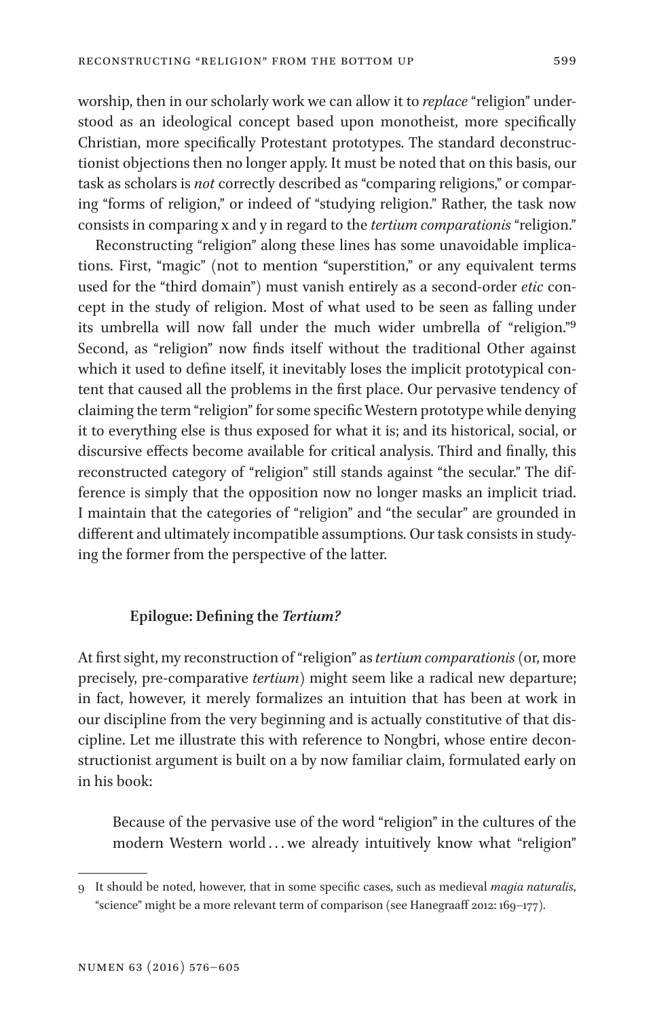worship, then in our scholarly work we can allow it to *replace* "religion" understood as an ideological concept based upon monotheist, more specifically Christian, more specifically Protestant prototypes. The standard deconstructionist objections then no longer apply. It must be noted that on this basis, our task as scholars is *not* correctly described as "comparing religions," or comparing "forms of religion," or indeed of "studying religion." Rather, the task now consists in comparing x and y in regard to the *tertium comparationis* "religion."

Reconstructing "religion" along these lines has some unavoidable implications. First, "magic" (not to mention "superstition," or any equivalent terms used for the "third domain") must vanish entirely as a second-order *etic* concept in the study of religion. Most of what used to be seen as falling under its umbrella will now fall under the much wider umbrella of "religion."9 Second, as "religion" now finds itself without the traditional Other against which it used to define itself, it inevitably loses the implicit prototypical content that caused all the problems in the first place. Our pervasive tendency of claiming the term "religion" for some specific Western prototype while denying it to everything else is thus exposed for what it is; and its historical, social, or discursive effects become available for critical analysis. Third and finally, this reconstructed category of "religion" still stands against "the secular." The difference is simply that the opposition now no longer masks an implicit triad. I maintain that the categories of "religion" and "the secular" are grounded in different and ultimately incompatible assumptions. Our task consists in studying the former from the perspective of the latter.

#### **Epilogue: Defining the** *Tertium?*

At first sight, my reconstruction of "religion" as *tertium comparationis* (or, more precisely, pre-comparative *tertium*) might seem like a radical new departure; in fact, however, it merely formalizes an intuition that has been at work in our discipline from the very beginning and is actually constitutive of that discipline. Let me illustrate this with reference to Nongbri, whose entire deconstructionist argument is built on a by now familiar claim, formulated early on in his book:

Because of the pervasive use of the word "religion" in the cultures of the modern Western world . . . we already intuitively know what "religion"

<sup>9</sup> It should be noted, however, that in some specific cases, such as medieval *magia naturalis*, "science" might be a more relevant term of comparison (see Hanegraaff 2012: 169–177).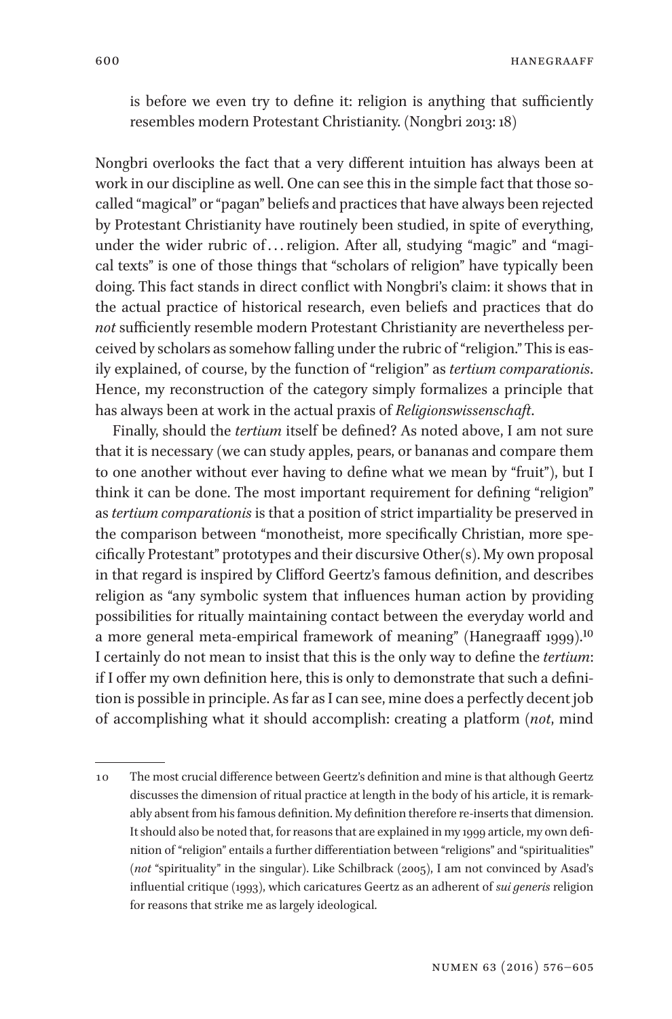is before we even try to define it: religion is anything that sufficiently resembles modern Protestant Christianity. (Nongbri 2013: 18)

Nongbri overlooks the fact that a very different intuition has always been at work in our discipline as well. One can see this in the simple fact that those socalled "magical" or "pagan" beliefs and practices that have always been rejected by Protestant Christianity have routinely been studied, in spite of everything, under the wider rubric of ... religion. After all, studying "magic" and "magical texts" is one of those things that "scholars of religion" have typically been doing. This fact stands in direct conflict with Nongbri's claim: it shows that in the actual practice of historical research, even beliefs and practices that do *not* sufficiently resemble modern Protestant Christianity are nevertheless perceived by scholars as somehow falling under the rubric of "religion." This is easily explained, of course, by the function of "religion" as *tertium comparationis*. Hence, my reconstruction of the category simply formalizes a principle that has always been at work in the actual praxis of *Religionswissenschaft*.

Finally, should the *tertium* itself be defined? As noted above, I am not sure that it is necessary (we can study apples, pears, or bananas and compare them to one another without ever having to define what we mean by "fruit"), but I think it can be done. The most important requirement for defining "religion" as *tertium comparationis* is that a position of strict impartiality be preserved in the comparison between "monotheist, more specifically Christian, more specifically Protestant" prototypes and their discursive Other(s). My own proposal in that regard is inspired by Clifford Geertz's famous definition, and describes religion as "any symbolic system that influences human action by providing possibilities for ritually maintaining contact between the everyday world and a more general meta-empirical framework of meaning" (Hanegraaff 1999).<sup>10</sup> I certainly do not mean to insist that this is the only way to define the *tertium*: if I offer my own definition here, this is only to demonstrate that such a definition is possible in principle. As far as I can see, mine does a perfectly decent job of accomplishing what it should accomplish: creating a platform (*not*, mind

<sup>10</sup> The most crucial difference between Geertz's definition and mine is that although Geertz discusses the dimension of ritual practice at length in the body of his article, it is remarkably absent from his famous definition. My definition therefore re-inserts that dimension. It should also be noted that, for reasons that are explained in my 1999 article, my own definition of "religion" entails a further differentiation between "religions" and "spiritualities" (*not* "spirituality" in the singular). Like Schilbrack (2005), I am not convinced by Asad's influential critique (1993), which caricatures Geertz as an adherent of *sui generis* religion for reasons that strike me as largely ideological.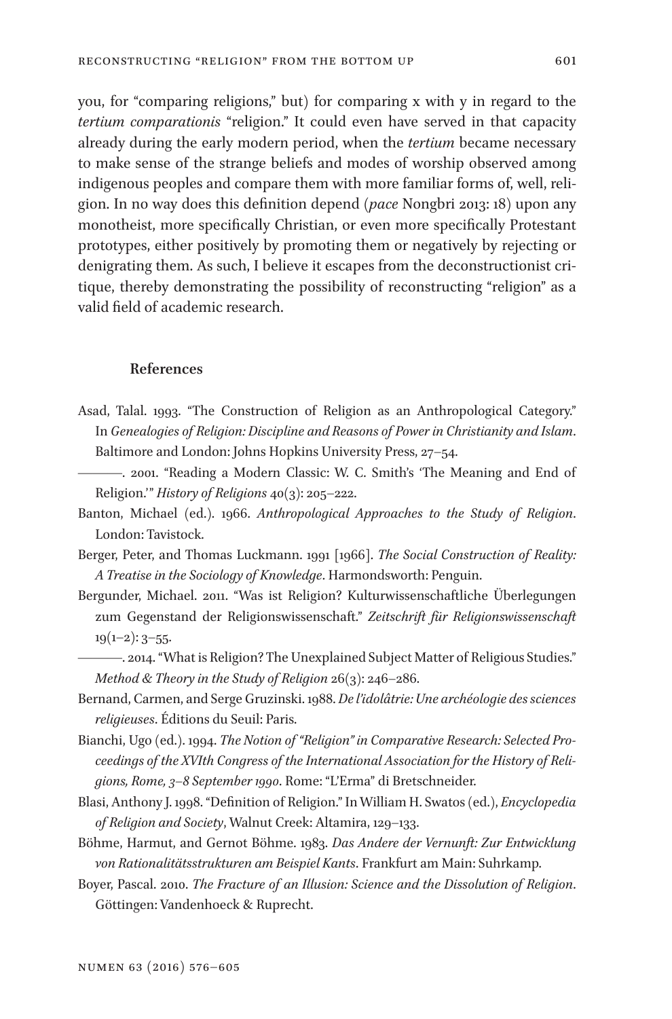you, for "comparing religions," but) for comparing x with y in regard to the *tertium comparationis* "religion." It could even have served in that capacity already during the early modern period, when the *tertium* became necessary to make sense of the strange beliefs and modes of worship observed among indigenous peoples and compare them with more familiar forms of, well, religion. In no way does this definition depend (*pace* Nongbri 2013: 18) upon any monotheist, more specifically Christian, or even more specifically Protestant prototypes, either positively by promoting them or negatively by rejecting or denigrating them. As such, I believe it escapes from the deconstructionist critique, thereby demonstrating the possibility of reconstructing "religion" as a valid field of academic research.

#### **References**

- Asad, Talal. 1993. "The Construction of Religion as an Anthropological Category." In *Genealogies of Religion: Discipline and Reasons of Power in Christianity and Islam*. Baltimore and London: Johns Hopkins University Press, 27–54.
- ―――. 2001. "Reading a Modern Classic: W. C. Smith's 'The Meaning and End of Religion.' " *History of Religions* 40(3): 205–222.
- Banton, Michael (ed.). 1966. *Anthropological Approaches to the Study of Religion*. London: Tavistock.
- Berger, Peter, and Thomas Luckmann. 1991 [1966]. *The Social Construction of Reality: A Treatise in the Sociology of Knowledge*. Harmondsworth: Penguin.
- Bergunder, Michael. 2011. "Was ist Religion? Kulturwissenschaftliche Überlegungen zum Gegenstand der Religionswissenschaft." *Zeitschrift für Religionswissenschaft*  $19(1-2): 3-55.$
- ―――. 2014. "What is Religion? The Unexplained Subject Matter of Religious Studies." *Method & Theory in the Study of Religion* 26(3): 246–286.
- Bernand, Carmen, and Serge Gruzinski. 1988. *De l'idolâtrie: Une archéologie des sciences religieuses*. Éditions du Seuil: Paris.
- Bianchi, Ugo (ed.). 1994. *The Notion of "Religion" in Comparative Research: Selected Proceedings of the XVIth Congress of the International Association for the History of Religions, Rome, 3–8 September 1990*. Rome: "L'Erma" di Bretschneider.
- Blasi, Anthony J. 1998. "Definition of Religion." In William H. Swatos (ed.), *Encyclopedia of Religion and Society*, Walnut Creek: Altamira, 129–133.
- Böhme, Harmut, and Gernot Böhme. 1983. *Das Andere der Vernunft: Zur Entwicklung von Rationalitätsstrukturen am Beispiel Kants*. Frankfurt am Main: Suhrkamp.
- Boyer, Pascal. 2010. *The Fracture of an Illusion: Science and the Dissolution of Religion*. Göttingen: Vandenhoeck & Ruprecht.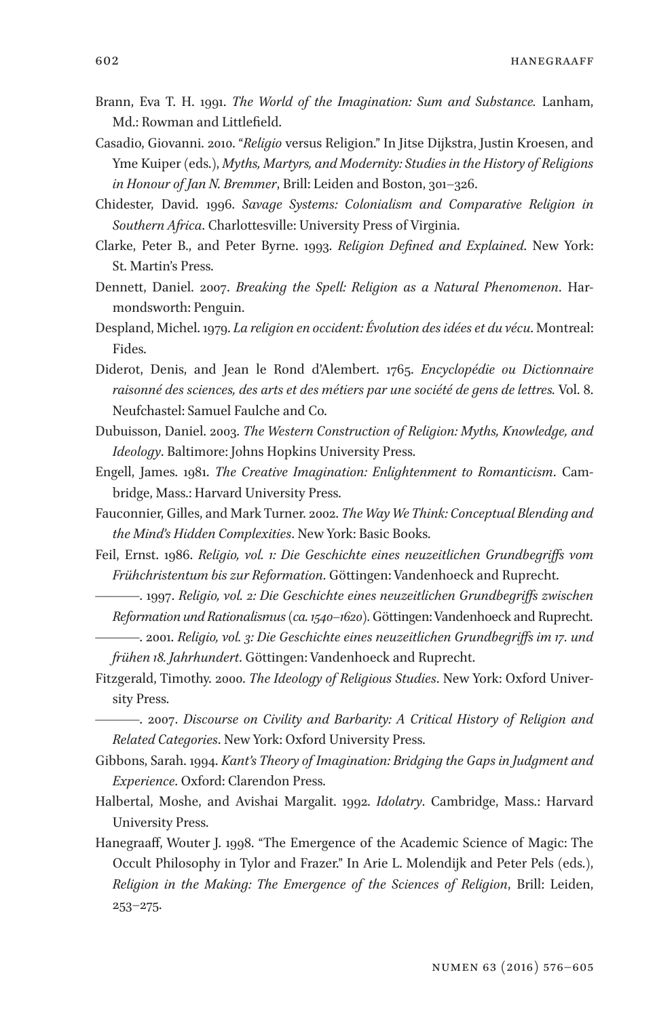- Brann, Eva T. H. 1991. *The World of the Imagination: Sum and Substance.* Lanham, Md.: Rowman and Littlefield.
- Casadio, Giovanni. 2010. "*Religio* versus Religion." In Jitse Dijkstra, Justin Kroesen, and Yme Kuiper (eds.), *Myths, Martyrs, and Modernity: Studies in the History of Religions in Honour of Jan N. Bremmer*, Brill: Leiden and Boston, 301–326.
- Chidester, David. 1996. *Savage Systems: Colonialism and Comparative Religion in Southern Africa*. Charlottesville: University Press of Virginia.
- Clarke, Peter B., and Peter Byrne. 1993. *Religion Defined and Explained*. New York: St. Martin's Press.
- Dennett, Daniel. 2007. *Breaking the Spell: Religion as a Natural Phenomenon*. Harmondsworth: Penguin.
- Despland, Michel. 1979. *La religion en occident: Évolution des idées et du vécu*. Montreal: Fides.
- Diderot, Denis, and Jean le Rond d'Alembert. 1765. *Encyclopédie ou Dictionnaire raisonné des sciences, des arts et des métiers par une société de gens de lettres.* Vol. 8. Neufchastel: Samuel Faulche and Co.
- Dubuisson, Daniel. 2003. *The Western Construction of Religion: Myths, Knowledge, and Ideology*. Baltimore: Johns Hopkins University Press.
- Engell, James. 1981. *The Creative Imagination: Enlightenment to Romanticism*. Cambridge, Mass.: Harvard University Press.
- Fauconnier, Gilles, and Mark Turner. 2002. *The Way We Think: Conceptual Blending and the Mind's Hidden Complexities*. New York: Basic Books.
- Feil, Ernst. 1986. *Religio, vol. 1: Die Geschichte eines neuzeitlichen Grundbegriffs vom Frühchristentum bis zur Reformation*. Göttingen: Vandenhoeck and Ruprecht.
	- ―――. 1997. *Religio, vol. 2: Die Geschichte eines neuzeitlichen Grundbegriffs zwischen Reformation und Rationalismus (ca. 1540–1620)*. Göttingen: Vandenhoeck and Ruprecht.
- ―――. 2001. *Religio, vol. 3: Die Geschichte eines neuzeitlichen Grundbegriffs im 17. und frühen 18. Jahrhundert*. Göttingen: Vandenhoeck and Ruprecht.
- Fitzgerald, Timothy. 2000. *The Ideology of Religious Studies*. New York: Oxford University Press.

―――. 2007. *Discourse on Civility and Barbarity: A Critical History of Religion and Related Categories*. New York: Oxford University Press.

- Gibbons, Sarah. 1994. *Kant's Theory of Imagination: Bridging the Gaps in Judgment and Experience*. Oxford: Clarendon Press.
- Halbertal, Moshe, and Avishai Margalit. 1992. *Idolatry*. Cambridge, Mass.: Harvard University Press.
- Hanegraaff, Wouter J. 1998. "The Emergence of the Academic Science of Magic: The Occult Philosophy in Tylor and Frazer." In Arie L. Molendijk and Peter Pels (eds.), *Religion in the Making: The Emergence of the Sciences of Religion*, Brill: Leiden, 253–275.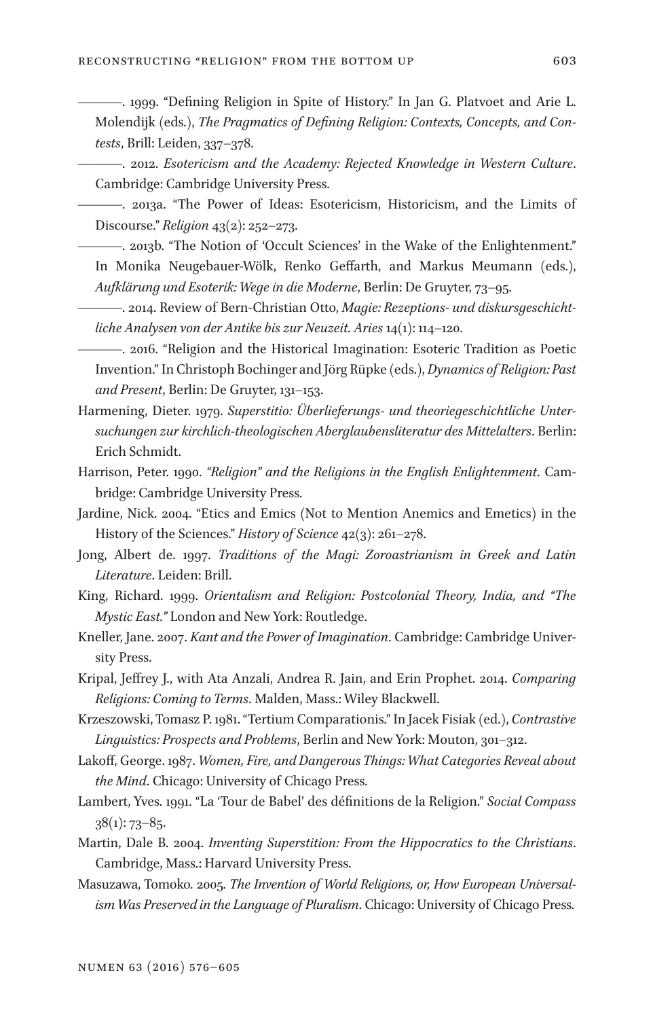―――. 1999. "Defining Religion in Spite of History." In Jan G. Platvoet and Arie L. Molendijk (eds.), *The Pragmatics of Defining Religion: Contexts, Concepts, and Contests*, Brill: Leiden, 337–378.

―――. 2012. *Esotericism and the Academy: Rejected Knowledge in Western Culture*. Cambridge: Cambridge University Press.

―――. 2013a. "The Power of Ideas: Esotericism, Historicism, and the Limits of Discourse." *Religion* 43(2): 252–273.

- ―――. 2013b. "The Notion of 'Occult Sciences' in the Wake of the Enlightenment." In Monika Neugebauer-Wölk, Renko Geffarth, and Markus Meumann (eds.), *Aufklärung und Esoterik: Wege in die Moderne*, Berlin: De Gruyter, 73–95.
- ―――. 2014. Review of Bern-Christian Otto, *Magie: Rezeptions- und diskursgeschichtliche Analysen von der Antike bis zur Neuzeit. Aries* 14(1): 114–120.
- ―――. 2016. "Religion and the Historical Imagination: Esoteric Tradition as Poetic Invention." In Christoph Bochinger and Jörg Rüpke (eds.), *Dynamics of Religion: Past and Present*, Berlin: De Gruyter, 131–153.
- Harmening, Dieter. 1979. *Superstitio: Überlieferungs- und theoriegeschichtliche Untersuchungen zur kirchlich-theologischen Aberglaubensliteratur des Mittelalters*. Berlin: Erich Schmidt.
- Harrison, Peter. 1990. *"Religion" and the Religions in the English Enlightenment*. Cambridge: Cambridge University Press.
- Jardine, Nick. 2004. "Etics and Emics (Not to Mention Anemics and Emetics) in the History of the Sciences." *History of Science* 42(3): 261–278.
- Jong, Albert de. 1997. *Traditions of the Magi: Zoroastrianism in Greek and Latin Literature*. Leiden: Brill.
- King, Richard. 1999. *Orientalism and Religion: Postcolonial Theory, India, and "The Mystic East."* London and New York: Routledge.
- Kneller, Jane. 2007. *Kant and the Power of Imagination*. Cambridge: Cambridge University Press.
- Kripal, Jeffrey J., with Ata Anzali, Andrea R. Jain, and Erin Prophet. 2014. *Comparing Religions: Coming to Terms*. Malden, Mass.: Wiley Blackwell.
- Krzeszowski, Tomasz P. 1981. "Tertium Comparationis." In Jacek Fisiak (ed.), *Contrastive Linguistics: Prospects and Problems*, Berlin and New York: Mouton, 301–312.
- Lakoff, George. 1987. *Women, Fire, and Dangerous Things: What Categories Reveal about the Mind*. Chicago: University of Chicago Press.
- Lambert, Yves. 1991. "La 'Tour de Babel' des définitions de la Religion." *Social Compass* 38(1): 73–85.
- Martin, Dale B. 2004. *Inventing Superstition: From the Hippocratics to the Christians*. Cambridge, Mass.: Harvard University Press.
- Masuzawa, Tomoko. 2005. *The Invention of World Religions, or, How European Universalism Was Preserved in the Language of Pluralism*. Chicago: University of Chicago Press.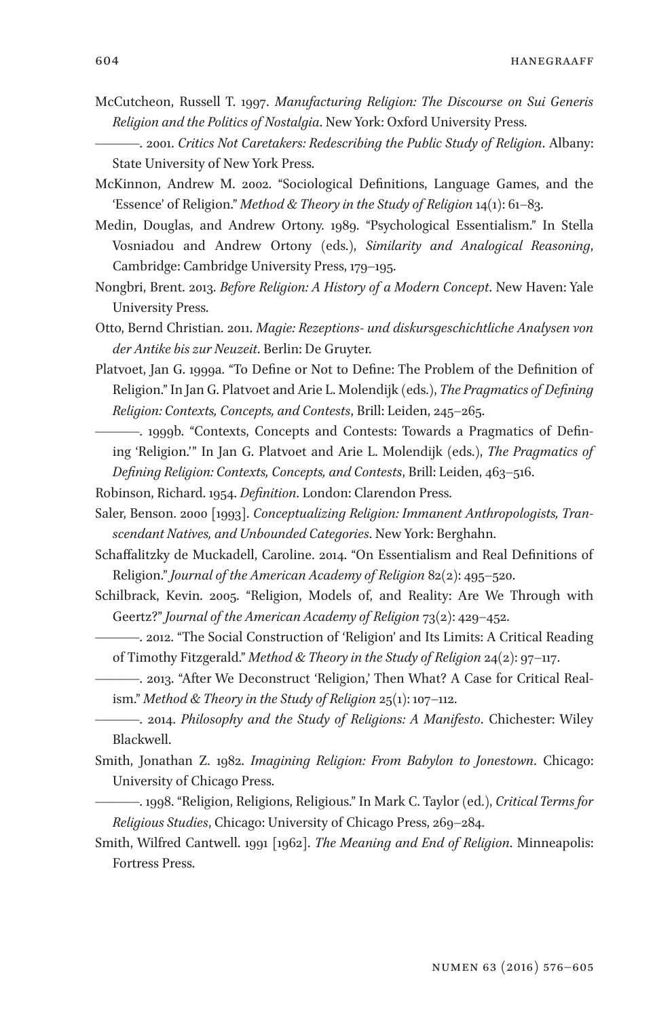- McCutcheon, Russell T. 1997. *Manufacturing Religion: The Discourse on Sui Generis Religion and the Politics of Nostalgia*. New York: Oxford University Press.
	- ―――. 2001. *Critics Not Caretakers: Redescribing the Public Study of Religion*. Albany: State University of New York Press.
- McKinnon, Andrew M. 2002. "Sociological Definitions, Language Games, and the 'Essence' of Religion." *Method & Theory in the Study of Religion* 14(1): 61–83.
- Medin, Douglas, and Andrew Ortony. 1989. "Psychological Essentialism." In Stella Vosniadou and Andrew Ortony (eds.), *Similarity and Analogical Reasoning*, Cambridge: Cambridge University Press, 179–195.
- Nongbri, Brent. 2013. *Before Religion: A History of a Modern Concept*. New Haven: Yale University Press.
- Otto, Bernd Christian. 2011. *Magie: Rezeptions- und diskursgeschichtliche Analysen von der Antike bis zur Neuzeit*. Berlin: De Gruyter.
- Platvoet, Jan G. 1999a. "To Define or Not to Define: The Problem of the Definition of Religion." In Jan G. Platvoet and Arie L. Molendijk (eds.), *The Pragmatics of Defining Religion: Contexts, Concepts, and Contests*, Brill: Leiden, 245–265.
- ―――. 1999b. "Contexts, Concepts and Contests: Towards a Pragmatics of Defining 'Religion.' " In Jan G. Platvoet and Arie L. Molendijk (eds.), *The Pragmatics of Defining Religion: Contexts, Concepts, and Contests*, Brill: Leiden, 463–516.
- Robinson, Richard. 1954. *Definition*. London: Clarendon Press.
- Saler, Benson. 2000 [1993]. *Conceptualizing Religion: Immanent Anthropologists, Transcendant Natives, and Unbounded Categories*. New York: Berghahn.
- Schaffalitzky de Muckadell, Caroline. 2014. "On Essentialism and Real Definitions of Religion." *Journal of the American Academy of Religion* 82(2): 495–520.
- Schilbrack, Kevin. 2005. "Religion, Models of, and Reality: Are We Through with Geertz?" *Journal of the American Academy of Religion* 73(2): 429–452.
	- ―――. 2012. "The Social Construction of 'Religion' and Its Limits: A Critical Reading of Timothy Fitzgerald." *Method & Theory in the Study of Religion* 24(2): 97–117.
- ―――. 2013. "After We Deconstruct 'Religion,' Then What? A Case for Critical Realism." *Method & Theory in the Study of Religion* 25(1): 107–112.
- ―――. 2014. *Philosophy and the Study of Religions: A Manifesto*. Chichester: Wiley Blackwell.
- Smith, Jonathan Z. 1982. *Imagining Religion: From Babylon to Jonestown*. Chicago: University of Chicago Press.
- ―――. 1998. "Religion, Religions, Religious." In Mark C. Taylor (ed.), *Critical Terms for Religious Studies*, Chicago: University of Chicago Press, 269–284.
- Smith, Wilfred Cantwell. 1991 [1962]. *The Meaning and End of Religion*. Minneapolis: Fortress Press.